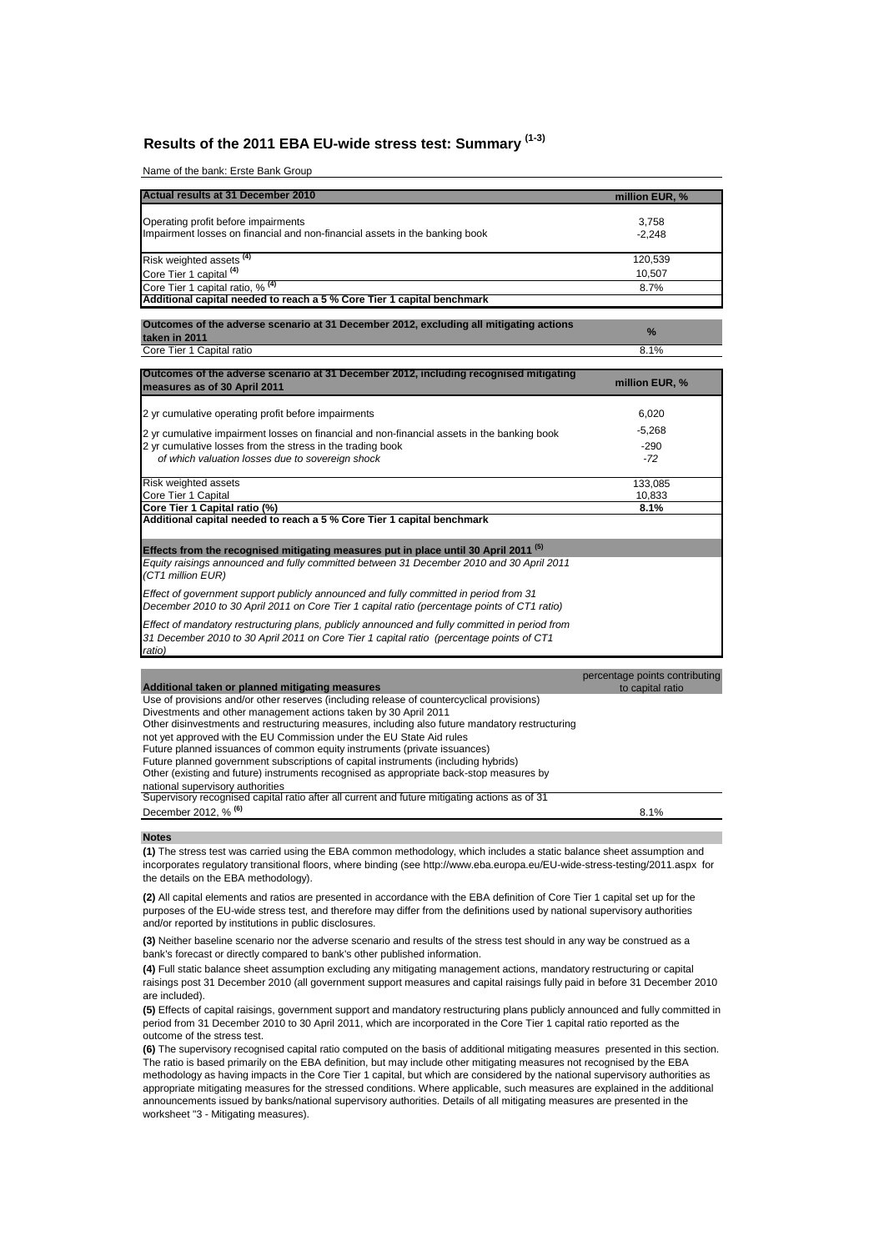# **Results of the 2011 EBA EU-wide stress test: Summary (1-3)**

Name of the bank: Erste Bank Group

| Actual results at 31 December 2010                                                                                 | million EUR, %    |
|--------------------------------------------------------------------------------------------------------------------|-------------------|
| Operating profit before impairments<br>Impairment losses on financial and non-financial assets in the banking book | 3,758<br>$-2.248$ |
| Risk weighted assets <sup>(4)</sup>                                                                                | 120,539           |
| Core Tier 1 capital <sup>(4)</sup>                                                                                 | 10,507            |
| Core Tier 1 capital ratio, % (4)                                                                                   | 8.7%              |
| Additional capital needed to reach a 5 % Core Tier 1 capital benchmark                                             |                   |

**Outcomes of the adverse scenario at 31 December 2012, excluding all mitigating actions taken in 2011 % Core Tier 1 Capital ratio** 8.1%

| Outcomes of the adverse scenario at 31 December 2012, including recognised mitigating<br>measures as of 30 April 2011                                                                                | million EUR, %                 |
|------------------------------------------------------------------------------------------------------------------------------------------------------------------------------------------------------|--------------------------------|
| 2 yr cumulative operating profit before impairments                                                                                                                                                  | 6,020                          |
| 2 yr cumulative impairment losses on financial and non-financial assets in the banking book                                                                                                          | $-5,268$                       |
| 2 yr cumulative losses from the stress in the trading book                                                                                                                                           | $-290$                         |
| of which valuation losses due to sovereign shock                                                                                                                                                     | $-72$                          |
| <b>Risk weighted assets</b>                                                                                                                                                                          | 133,085                        |
| Core Tier 1 Capital                                                                                                                                                                                  | 10,833                         |
| Core Tier 1 Capital ratio (%)                                                                                                                                                                        | 8.1%                           |
| Additional capital needed to reach a 5 % Core Tier 1 capital benchmark                                                                                                                               |                                |
| Effects from the recognised mitigating measures put in place until 30 April 2011 <sup>(5)</sup>                                                                                                      |                                |
| Equity raisings announced and fully committed between 31 December 2010 and 30 April 2011<br>(CT1 million EUR)                                                                                        |                                |
| Effect of government support publicly announced and fully committed in period from 31<br>December 2010 to 30 April 2011 on Core Tier 1 capital ratio (percentage points of CT1 ratio)                |                                |
| Effect of mandatory restructuring plans, publicly announced and fully committed in period from<br>31 December 2010 to 30 April 2011 on Core Tier 1 capital ratio (percentage points of CT1<br>ratio) |                                |
|                                                                                                                                                                                                      | percentage points contributing |

| Additional taken or planned mitigating measures                                                | to capital ratio |
|------------------------------------------------------------------------------------------------|------------------|
| Use of provisions and/or other reserves (including release of countercyclical provisions)      |                  |
| Divestments and other management actions taken by 30 April 2011                                |                  |
| Other disinvestments and restructuring measures, including also future mandatory restructuring |                  |
| not yet approved with the EU Commission under the EU State Aid rules                           |                  |
| Future planned issuances of common equity instruments (private issuances)                      |                  |
| Future planned government subscriptions of capital instruments (including hybrids)             |                  |
| Other (existing and future) instruments recognised as appropriate back-stop measures by        |                  |
| national supervisory authorities                                                               |                  |
| Supervisory recognised capital ratio after all current and future mitigating actions as of 31  |                  |
| December 2012, % <sup>(6)</sup>                                                                | 8.1%             |
|                                                                                                |                  |

**Notes**

**(1)** The stress test was carried using the EBA common methodology, which includes a static balance sheet assumption and incorporates regulatory transitional floors, where binding (see http://www.eba.europa.eu/EU-wide-stress-testing/2011.aspx for the details on the EBA methodology).

**(2)** All capital elements and ratios are presented in accordance with the EBA definition of Core Tier 1 capital set up for the purposes of the EU-wide stress test, and therefore may differ from the definitions used by national supervisory authorities and/or reported by institutions in public disclosures.

**(3)** Neither baseline scenario nor the adverse scenario and results of the stress test should in any way be construed as a bank's forecast or directly compared to bank's other published information.

**(4)** Full static balance sheet assumption excluding any mitigating management actions, mandatory restructuring or capital raisings post 31 December 2010 (all government support measures and capital raisings fully paid in before 31 December 2010 are included).

**(5)** Effects of capital raisings, government support and mandatory restructuring plans publicly announced and fully committed in period from 31 December 2010 to 30 April 2011, which are incorporated in the Core Tier 1 capital ratio reported as the outcome of the stress test.

**(6)** The supervisory recognised capital ratio computed on the basis of additional mitigating measures presented in this section. The ratio is based primarily on the EBA definition, but may include other mitigating measures not recognised by the EBA methodology as having impacts in the Core Tier 1 capital, but which are considered by the national supervisory authorities as appropriate mitigating measures for the stressed conditions. Where applicable, such measures are explained in the additional announcements issued by banks/national supervisory authorities. Details of all mitigating measures are presented in the worksheet "3 - Mitigating measures).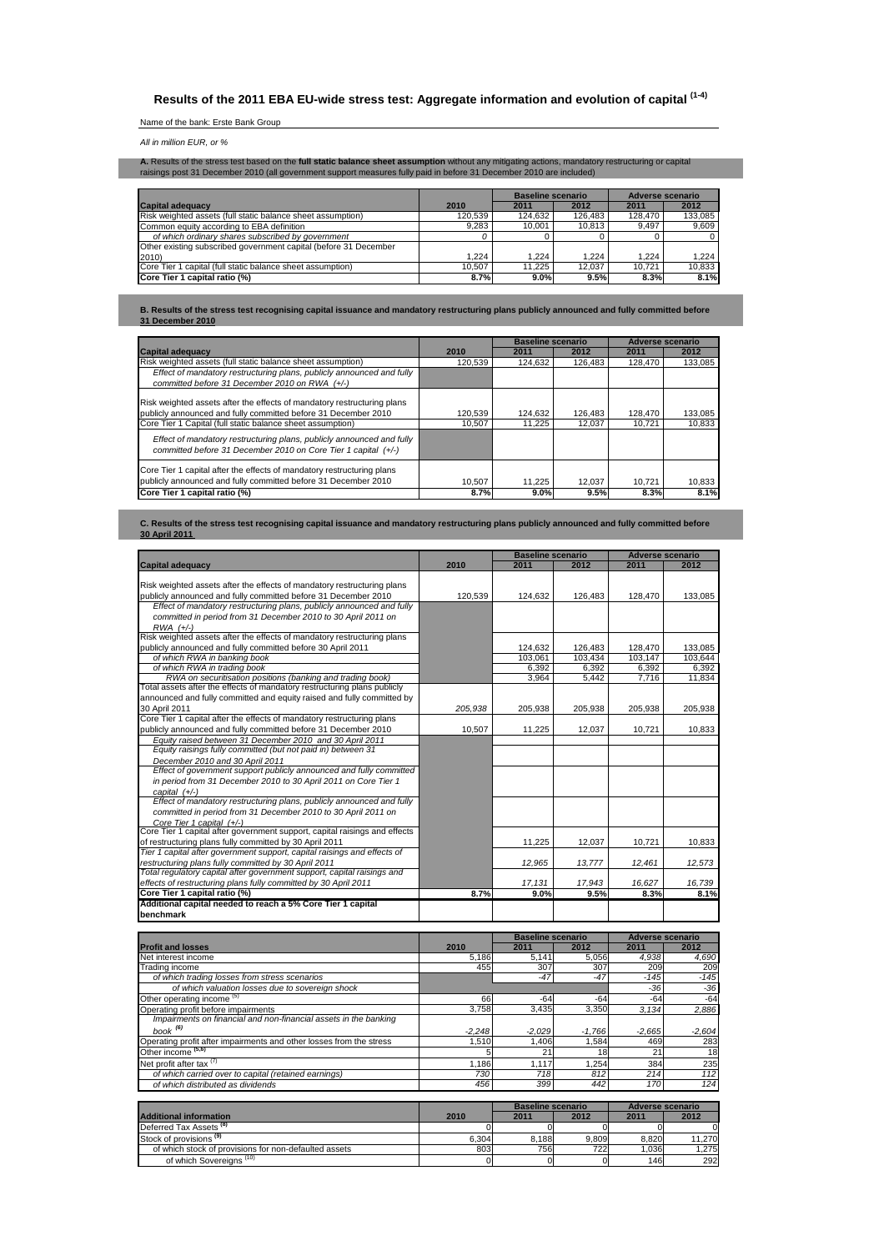# **Results of the 2011 EBA EU-wide stress test: Aggregate information and evolution of capital (1-4)**

# Name of the bank: Erste Bank Group

## All in million EUR, or %

**A.** Results of the stress test based on the **full static balance sheet assumption** without any mitigating actions, mandatory restructuring or capital<br>raisings post 31 December 2010 (all government support measures fully p

|                                                                  |         | Baseline scenario |         | Adverse scenario |         |
|------------------------------------------------------------------|---------|-------------------|---------|------------------|---------|
| <b>Capital adequacy</b>                                          | 2010    | 2011              | 2012    | 2011             | 2012    |
| Risk weighted assets (full static balance sheet assumption)      | 120.539 | 124.632           | 126.483 | 128,470          | 133.085 |
| Common equity according to EBA definition                        | 9.283   | 10.001            | 10.813  | 9.497            | 9.609   |
| of which ordinary shares subscribed by government                |         |                   |         |                  |         |
| Other existing subscribed government capital (before 31 December |         |                   |         |                  |         |
| 2010)                                                            | 1.224   | .224              | 1.224   | 1.224            | 1.224   |
| Core Tier 1 capital (full static balance sheet assumption)       | 10.507  | 11.225            | 12.037  | 10.721           | 10.833  |
| Core Tier 1 capital ratio (%)                                    | 8.7%    | 9.0%              | 9.5%    | 8.3%             | 8.1%    |

**B. Results of the stress test recognising capital issuance and mandatory restructuring plans publicly announced and fully committed before 31 December 2010**

|                                                                                                                                                                                                         |                   | <b>Baseline scenario</b> |                   | Adverse scenario  |                   |
|---------------------------------------------------------------------------------------------------------------------------------------------------------------------------------------------------------|-------------------|--------------------------|-------------------|-------------------|-------------------|
| Capital adequacy                                                                                                                                                                                        | 2010              | 2011                     | 2012              | 2011              | 2012              |
| Risk weighted assets (full static balance sheet assumption)                                                                                                                                             | 120.539           | 124.632                  | 126.483           | 128,470           | 133,085           |
| Effect of mandatory restructuring plans, publicly announced and fully                                                                                                                                   |                   |                          |                   |                   |                   |
| committed before 31 December 2010 on RWA (+/-)                                                                                                                                                          |                   |                          |                   |                   |                   |
| Risk weighted assets after the effects of mandatory restructuring plans<br>publicly announced and fully committed before 31 December 2010<br>Core Tier 1 Capital (full static balance sheet assumption) | 120.539<br>10.507 | 124.632<br>11.225        | 126.483<br>12.037 | 128.470<br>10.721 | 133,085<br>10.833 |
| Effect of mandatory restructuring plans, publicly announced and fully<br>committed before 31 December 2010 on Core Tier 1 capital (+/-)                                                                 |                   |                          |                   |                   |                   |
| Core Tier 1 capital after the effects of mandatory restructuring plans<br>publicly announced and fully committed before 31 December 2010                                                                | 10.507            | 11.225                   | 12.037            | 10.721            | 10,833            |
| Core Tier 1 capital ratio (%)                                                                                                                                                                           | 8.7%              | 9.0%                     | 9.5%              | 8.3%              | 8.1%              |

**C. Results of the stress test recognising capital issuance and mandatory restructuring plans publicly announced and fully committed before 30 April 2011** 

|                                                                            |         | <b>Baseline scenario</b> |         | <b>Adverse scenario</b> |         |  |
|----------------------------------------------------------------------------|---------|--------------------------|---------|-------------------------|---------|--|
| <b>Capital adequacy</b>                                                    | 2010    | 2011                     | 2012    | 2011                    | 2012    |  |
|                                                                            |         |                          |         |                         |         |  |
| Risk weighted assets after the effects of mandatory restructuring plans    |         |                          |         |                         |         |  |
| publicly announced and fully committed before 31 December 2010             | 120.539 | 124.632                  | 126.483 | 128.470                 | 133.085 |  |
| Effect of mandatory restructuring plans, publicly announced and fully      |         |                          |         |                         |         |  |
| committed in period from 31 December 2010 to 30 April 2011 on              |         |                          |         |                         |         |  |
| $RWA$ $(+/-)$                                                              |         |                          |         |                         |         |  |
| Risk weighted assets after the effects of mandatory restructuring plans    |         |                          |         |                         |         |  |
| publicly announced and fully committed before 30 April 2011                |         | 124,632                  | 126,483 | 128,470                 | 133,085 |  |
| of which RWA in banking book                                               |         | 103.061                  | 103.434 | 103,147                 | 103.644 |  |
| of which RWA in trading book                                               |         | 6.392                    | 6.392   | 6,392                   | 6.392   |  |
| RWA on securitisation positions (banking and trading book)                 |         | 3.964                    | 5.442   | 7.716                   | 11.834  |  |
| Total assets after the effects of mandatory restructuring plans publicly   |         |                          |         |                         |         |  |
| announced and fully committed and equity raised and fully committed by     |         |                          |         |                         |         |  |
| 30 April 2011                                                              | 205.938 | 205.938                  | 205,938 | 205.938                 | 205,938 |  |
| Core Tier 1 capital after the effects of mandatory restructuring plans     |         |                          |         |                         |         |  |
| publicly announced and fully committed before 31 December 2010             | 10.507  | 11,225                   | 12,037  | 10.721                  | 10,833  |  |
| Equity raised between 31 December 2010 and 30 April 2011                   |         |                          |         |                         |         |  |
| Equity raisings fully committed (but not paid in) between 31               |         |                          |         |                         |         |  |
| December 2010 and 30 April 2011                                            |         |                          |         |                         |         |  |
| Effect of government support publicly announced and fully committed        |         |                          |         |                         |         |  |
| in period from 31 December 2010 to 30 April 2011 on Core Tier 1            |         |                          |         |                         |         |  |
| capital (+/-)                                                              |         |                          |         |                         |         |  |
| Effect of mandatory restructuring plans, publicly announced and fully      |         |                          |         |                         |         |  |
| committed in period from 31 December 2010 to 30 April 2011 on              |         |                          |         |                         |         |  |
| Core Tier 1 capital (+/-)                                                  |         |                          |         |                         |         |  |
| Core Tier 1 capital after government support, capital raisings and effects |         |                          |         |                         |         |  |
| of restructuring plans fully committed by 30 April 2011                    |         | 11,225                   | 12.037  | 10.721                  | 10.833  |  |
| Tier 1 capital after government support, capital raisings and effects of   |         |                          |         |                         |         |  |
| restructuring plans fully committed by 30 April 2011                       |         | 12.965                   | 13,777  | 12,461                  | 12,573  |  |
| Total regulatory capital after government support, capital raisings and    |         |                          |         |                         |         |  |
| effects of restructuring plans fully committed by 30 April 2011            |         | 17,131                   | 17.943  | 16.627                  | 16,739  |  |
| Core Tier 1 capital ratio (%)                                              | 8.7%    | 9.0%                     | 9.5%    | 8.3%                    | 8.1%    |  |
| Additional capital needed to reach a 5% Core Tier 1 capital                |         |                          |         |                         |         |  |
| benchmark                                                                  |         |                          |         |                         |         |  |
|                                                                            |         | <b>Baseline scenario</b> |         | <b>Adverse scenario</b> |         |  |
| <b>Profit and losses</b>                                                   | 2010    | 2011                     | 2012    | 2011                    | 2012    |  |
| Net interest income                                                        | 5,186   | 5,141                    | 5,056   | 4,938                   | 4,690   |  |
| Trading income                                                             | 455     | 307                      | 307     | 209                     | 209     |  |
| of which trading losses from stress scenarios                              |         | $-47$                    | $-47$   | $-145$                  | $-145$  |  |

| Net interest income                                                 | 5.186    | 5.141    | 5,056    | 4.938          | 4,690    |
|---------------------------------------------------------------------|----------|----------|----------|----------------|----------|
| Trading income                                                      | 455      | 307      | 307      | 209            | 209      |
| of which trading losses from stress scenarios                       |          | $-47$    | $-47$    | $-145$         | $-145$   |
| of which valuation losses due to sovereign shock                    |          |          |          | $-36$          | $-36$    |
| Other operating income (5)                                          | 66       | $-64$    | $-64$    | $-64$          | $-64$    |
| Operating profit before impairments                                 | 3.758    | 3.435    | 3.350    | 3.134          | 2,886    |
| Impairments on financial and non-financial assets in the banking    |          |          |          |                |          |
| book <sup>(6)</sup>                                                 | $-2.248$ | $-2.029$ | $-1.766$ | $-2.665$       | $-2,604$ |
| Operating profit after impairments and other losses from the stress | 1.510    | A06,     | 1.584    | 469            | 283      |
| Other income <sup>(5,6)</sup>                                       |          | 21       | 18       | 2 <sup>1</sup> | 18       |
| Net profit after tax (7)                                            | 1.186    | 1.117    | 1.254    | 384            | 235      |
| of which carried over to capital (retained earnings)                | 730      | 718      | 812      | 214            | 112      |
| of which distributed as dividends                                   | 456      | 399      | 442      | 170            | 124      |
|                                                                     |          |          |          |                |          |

|                                                       |       | <b>Baseline scenario</b> |       | Adverse scenario |        |
|-------------------------------------------------------|-------|--------------------------|-------|------------------|--------|
| <b>Additional information</b>                         | 2010  | 2011                     | 2012  | 2011             | 2012   |
| Deferred Tax Assets <sup>(8)</sup>                    |       |                          |       |                  |        |
| Stock of provisions <sup>(9)</sup>                    | 6.304 | 8.188                    | 9.809 | 8.820            | 11,270 |
| of which stock of provisions for non-defaulted assets | 803   | 756                      | 7221  | 1.036            | 1.275  |
| of which Sovereians <sup>(10)</sup>                   |       |                          |       | 146              | 292    |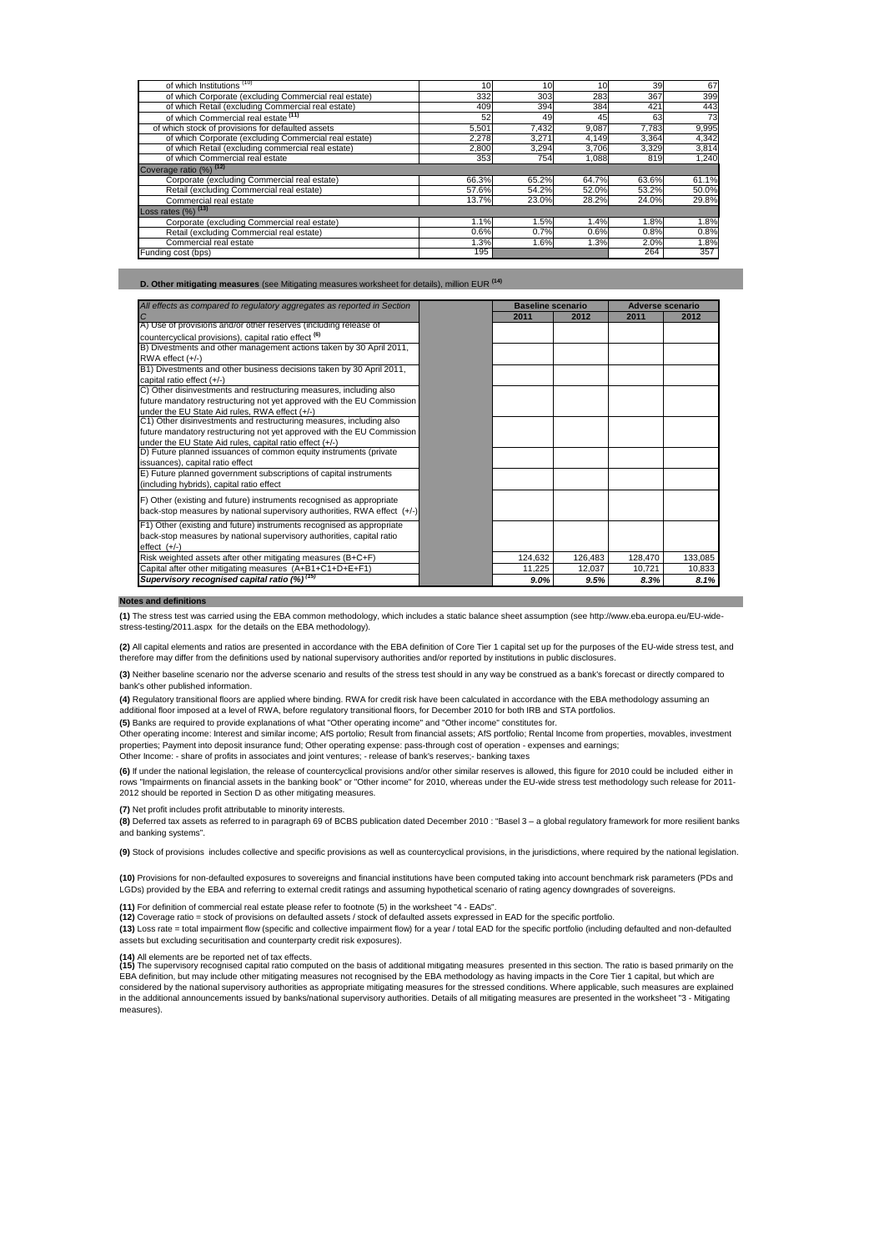| of which Institutions <sup>(10)</sup>                 | 10 <sub>1</sub> | 10    | 10    | 39    | 67    |
|-------------------------------------------------------|-----------------|-------|-------|-------|-------|
| of which Corporate (excluding Commercial real estate) | 332             | 303   | 283   | 367   | 399   |
| of which Retail (excluding Commercial real estate)    | 409             | 394   | 384   | 421   | 443   |
| of which Commercial real estate (11)                  | 52              | 49    | 45    | 63    | 73    |
| of which stock of provisions for defaulted assets     | 5,501           | 7,432 | 9,087 | 7,783 | 9,995 |
| of which Corporate (excluding Commercial real estate) | 2.278           | 3.271 | 4,149 | 3,364 | 4,342 |
| of which Retail (excluding commercial real estate)    | 2,800           | 3,294 | 3.706 | 3,329 | 3,814 |
| of which Commercial real estate                       | 353             | 754   | 1,088 | 819   | 1.240 |
| Coverage ratio (%) (12)                               |                 |       |       |       |       |
| Corporate (excluding Commercial real estate)          | 66.3%           | 65.2% | 64.7% | 63.6% | 61.1% |
| Retail (excluding Commercial real estate)             | 57.6%           | 54.2% | 52.0% | 53.2% | 50.0% |
| Commercial real estate                                | 13.7%           | 23.0% | 28.2% | 24.0% | 29.8% |
| Loss rates $(\%)$ <sup>(13)</sup>                     |                 |       |       |       |       |
| Corporate (excluding Commercial real estate)          | 1.1%            | 1.5%  | 1.4%  | 1.8%  | 1.8%  |
| Retail (excluding Commercial real estate)             | 0.6%            | 0.7%  | 0.6%  | 0.8%  | 0.8%  |
| Commercial real estate                                | 1.3%            | 1.6%  | 1.3%  | 2.0%  | 1.8%  |
| Funding cost (bps)                                    | 195             |       |       | 264   | 357   |

**D. Other mitigating measures** (see Mitigating measures worksheet for details), million EUR **(14)**

| All effects as compared to regulatory aggregates as reported in Section  | <b>Baseline scenario</b> |         | <b>Adverse scenario</b> |         |
|--------------------------------------------------------------------------|--------------------------|---------|-------------------------|---------|
| $\overline{C}$                                                           | 2011                     | 2012    | 2011                    | 2012    |
| A) Use of provisions and/or other reserves (including release of         |                          |         |                         |         |
| countercyclical provisions), capital ratio effect <sup>(6)</sup>         |                          |         |                         |         |
| B) Divestments and other management actions taken by 30 April 2011,      |                          |         |                         |         |
| $RWA$ effect $(+/-)$                                                     |                          |         |                         |         |
| B1) Divestments and other business decisions taken by 30 April 2011,     |                          |         |                         |         |
| capital ratio effect (+/-)                                               |                          |         |                         |         |
| C) Other disinvestments and restructuring measures, including also       |                          |         |                         |         |
| future mandatory restructuring not yet approved with the EU Commission   |                          |         |                         |         |
| under the EU State Aid rules, RWA effect (+/-)                           |                          |         |                         |         |
| C1) Other disinvestments and restructuring measures, including also      |                          |         |                         |         |
| future mandatory restructuring not yet approved with the EU Commission   |                          |         |                         |         |
| under the EU State Aid rules, capital ratio effect (+/-)                 |                          |         |                         |         |
| D) Future planned issuances of common equity instruments (private        |                          |         |                         |         |
| issuances), capital ratio effect                                         |                          |         |                         |         |
| E) Future planned government subscriptions of capital instruments        |                          |         |                         |         |
| (including hybrids), capital ratio effect                                |                          |         |                         |         |
| F) Other (existing and future) instruments recognised as appropriate     |                          |         |                         |         |
| back-stop measures by national supervisory authorities, RWA effect (+/-) |                          |         |                         |         |
|                                                                          |                          |         |                         |         |
| F1) Other (existing and future) instruments recognised as appropriate    |                          |         |                         |         |
| back-stop measures by national supervisory authorities, capital ratio    |                          |         |                         |         |
| effect $(+/-)$                                                           |                          |         |                         |         |
| Risk weighted assets after other mitigating measures (B+C+F)             | 124,632                  | 126,483 | 128,470                 | 133,085 |
| Capital after other mitigating measures (A+B1+C1+D+E+F1)                 | 11.225                   | 12.037  | 10,721                  | 10,833  |
| Supervisory recognised capital ratio (%) <sup>(15)</sup>                 | 9.0%                     | 9.5%    | 8.3%                    | 8.1%    |

#### **Notes and definitions**

**(1)** The stress test was carried using the EBA common methodology, which includes a static balance sheet assumption (see http://www.eba.europa.eu/EU-widestress-testing/2011.aspx for the details on the EBA methodology).

**(2)** All capital elements and ratios are presented in accordance with the EBA definition of Core Tier 1 capital set up for the purposes of the EU-wide stress test, and efore may differ from the definitions used by national supervisory authorities and/or reported by institutions in public disclosures.

**(3)** Neither baseline scenario nor the adverse scenario and results of the stress test should in any way be construed as a bank's forecast or directly compared to bank's other published information.

**(4)** Regulatory transitional floors are applied where binding. RWA for credit risk have been calculated in accordance with the EBA methodology assuming an additional floor imposed at a level of RWA, before regulatory transitional floors, for December 2010 for both IRB and STA portfolios.

**(5)** Banks are required to provide explanations of what "Other operating income" and "Other income" constitutes for.

Other operating income: Interest and similar income; AfS portolio; Result from financial assets; AfS portfolio; Rental Income from properties, movables, investment properties; Payment into deposit insurance fund; Other operating expense: pass-through cost of operation - expenses and earnings;<br>Other Income: - share of profits in associates and joint ventures; - release of bank's reser

**(6)** If under the national legislation, the release of countercyclical provisions and/or other similar reserves is allowed, this figure for 2010 could be included either in rows "Impairments on financial assets in the banking book" or "Other income" for 2010, whereas under the EU-wide stress test methodology such release for 2011-<br>2012 should be reported in Section D as other mitigating measu

**(7)** Net profit includes profit attributable to minority interests.

**(8)** Deferred tax assets as referred to in paragraph 69 of BCBS publication dated December 2010 : "Basel 3 – a global regulatory framework for more resilient banks and banking systems".

**(9)** Stock of provisions includes collective and specific provisions as well as countercyclical provisions, in the jurisdictions, where required by the national legislation.

**(10)** Provisions for non-defaulted exposures to sovereigns and financial institutions have been computed taking into account benchmark risk parameters (PDs and<br>LGDs) provided by the EBA and referring to external credit ra

**(11)** For definition of commercial real estate please refer to footnote (5) in the worksheet "4 - EADs".

**(12)** Coverage ratio = stock of provisions on defaulted assets / stock of defaulted assets expressed in EAD for the specific portfolio.

**(13)** Loss rate = total impairment flow (specific and collective impairment flow) for a year / total EAD for the specific portfolio (including defaulted and non-defaulted assets but excluding securitisation and counterparty credit risk exposures).

**(14)** All elements are be reported net of tax effects.<br>**(15)** The supervisory recognised capital ratio computed on the basis of additional mitigating measures presented in this section. The ratio is based primarily on the EBA definition, but may include other mitigating measures not recognised by the EBA methodology as having impacts in the Core Tier 1 capital, but which are considered by the national supervisory authorities as appropriate mitigating measures for the stressed conditions. Where applicable, such measures are explained in the additional announcements issued by banks/national supervisory authorities. Details of all mitigating measures are presented in the worksheet "3 - Mitigating measures).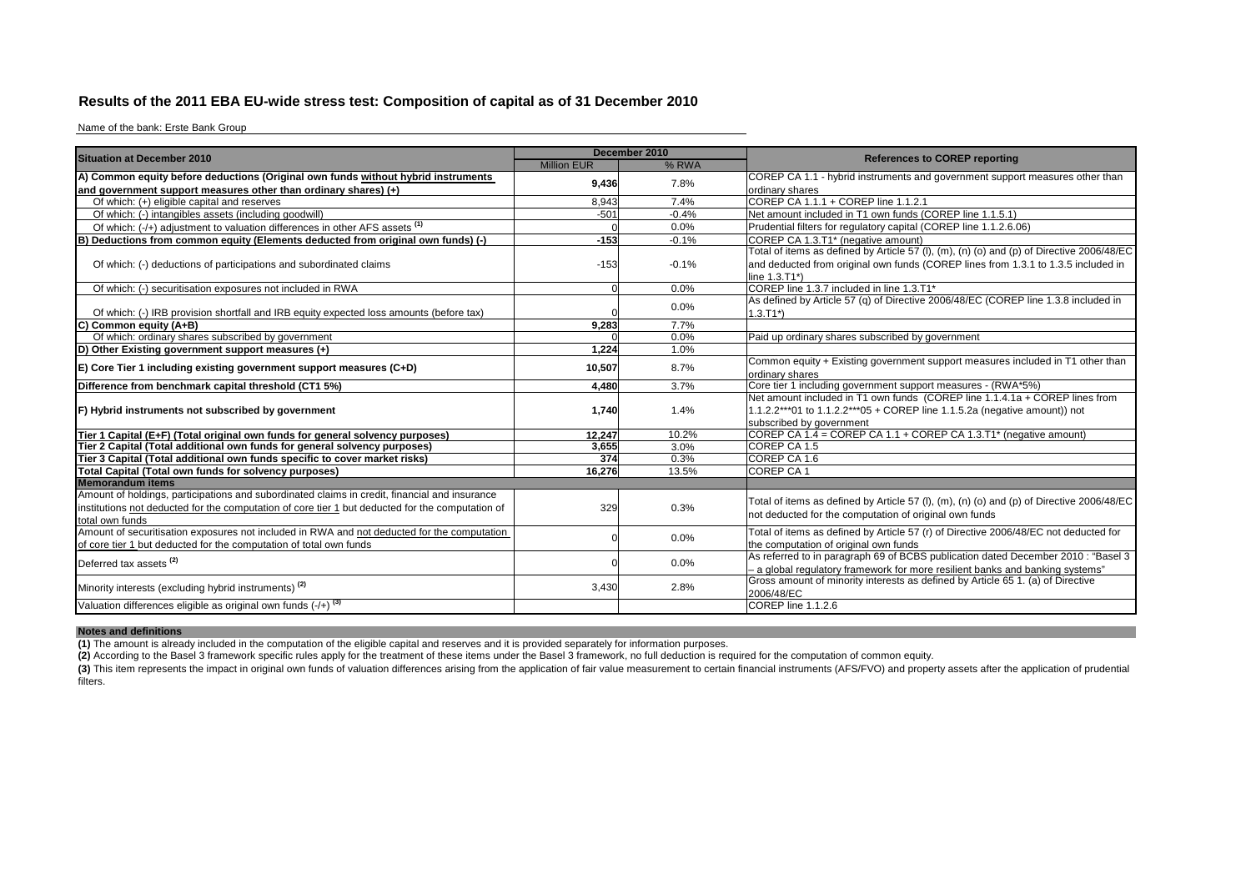## **Results of the 2011 EBA EU-wide stress test: Composition of capital as of 31 December 2010**

Name of the bank: Erste Bank Group

| <b>Situation at December 2010</b>                                                                |                    | December 2010 |                                                                                           |
|--------------------------------------------------------------------------------------------------|--------------------|---------------|-------------------------------------------------------------------------------------------|
|                                                                                                  | <b>Million EUR</b> | % RWA         | <b>References to COREP reporting</b>                                                      |
| A) Common equity before deductions (Original own funds without hybrid instruments                | 9,436              | 7.8%          | COREP CA 1.1 - hybrid instruments and government support measures other than              |
| and government support measures other than ordinary shares) (+)                                  |                    |               | ordinary shares                                                                           |
| Of which: (+) eligible capital and reserves                                                      | 8.943              | 7.4%          | COREP CA 1.1.1 + COREP line 1.1.2.1                                                       |
| Of which: (-) intangibles assets (including goodwill)                                            | $-501$             | $-0.4%$       | Net amount included in T1 own funds (COREP line 1.1.5.1)                                  |
| Of which: (-/+) adjustment to valuation differences in other AFS assets <sup>(1)</sup>           |                    | 0.0%          | Prudential filters for regulatory capital (COREP line 1.1.2.6.06)                         |
| B<br>Deductions from common equity (Elements deducted from original own funds) (-)               | $-153$             | $-0.1%$       | COREP CA 1.3.T1* (negative amount)                                                        |
|                                                                                                  |                    |               | Total of items as defined by Article 57 (I), (m), (n) (o) and (p) of Directive 2006/48/EC |
| Of which: (-) deductions of participations and subordinated claims                               | $-153$             | $-0.1%$       | and deducted from original own funds (COREP lines from 1.3.1 to 1.3.5 included in         |
|                                                                                                  |                    |               | line 1.3.T1*)                                                                             |
| Of which: (-) securitisation exposures not included in RWA                                       |                    | 0.0%          | COREP line 1.3.7 included in line 1.3.T1*                                                 |
|                                                                                                  |                    | 0.0%          | As defined by Article 57 (q) of Directive 2006/48/EC (COREP line 1.3.8 included in        |
| Of which: (-) IRB provision shortfall and IRB equity expected loss amounts (before tax)          |                    |               | $1.3.T1*$                                                                                 |
| C)<br>Common equity (A+B)                                                                        | 9.283              | 7.7%          |                                                                                           |
| Of which: ordinary shares subscribed by government                                               |                    | 0.0%          | Paid up ordinary shares subscribed by government                                          |
| D) Other Existing government support measures (+)                                                | 1,224              | 1.0%          |                                                                                           |
| $E$ ) Core Tier 1 including existing government support measures (C+D)                           | 10,507             | 8.7%          | Common equity + Existing government support measures included in T1 other than            |
|                                                                                                  |                    |               | ordinary shares                                                                           |
| Difference from benchmark capital threshold (CT1 5%)                                             | 4.480              | 3.7%          | Core tier 1 including government support measures - (RWA*5%)                              |
|                                                                                                  |                    |               | Net amount included in T1 own funds (COREP line 1.1.4.1a + COREP lines from               |
| F) Hybrid instruments not subscribed by government                                               | 1,740              | 1.4%          | 1.1.2.2***01 to 1.1.2.2***05 + COREP line 1.1.5.2a (negative amount)) not                 |
|                                                                                                  |                    |               | subscribed by government                                                                  |
| Tier 1 Capital (E+F) (Total original own funds for general solvency purposes)                    | 12.247             | 10.2%         | COREP CA 1.4 = COREP CA 1.1 + COREP CA 1.3.T1* (negative amount)                          |
| Tier 2 Capital (Total additional own funds for general solvency purposes)                        | 3,655              | 3.0%          | COREP CA 1.5                                                                              |
| Tier 3 Capital (Total additional own funds specific to cover market risks)                       | 374                | 0.3%          | COREP CA 1.6                                                                              |
| Total Capital (Total own funds for solvency purposes)                                            | 16.276             | 13.5%         | <b>COREP CA1</b>                                                                          |
| <b>Memorandum items</b>                                                                          |                    |               |                                                                                           |
| Amount of holdings, participations and subordinated claims in credit, financial and insurance    |                    |               | Total of items as defined by Article 57 (I), (m), (n) (o) and (p) of Directive 2006/48/EC |
| institutions not deducted for the computation of core tier 1 but deducted for the computation of | 329                | 0.3%          | not deducted for the computation of original own funds                                    |
| total own funds                                                                                  |                    |               |                                                                                           |
| Amount of securitisation exposures not included in RWA and not deducted for the computation      |                    | 0.0%          | Total of items as defined by Article 57 (r) of Directive 2006/48/EC not deducted for      |
| of core tier 1 but deducted for the computation of total own funds                               |                    |               | the computation of original own funds                                                     |
| Deferred tax assets <sup>(2)</sup>                                                               |                    | 0.0%          | As referred to in paragraph 69 of BCBS publication dated December 2010 : "Basel 3         |
|                                                                                                  |                    |               | - a global regulatory framework for more resilient banks and banking systems"             |
| Minority interests (excluding hybrid instruments) <sup>(2)</sup>                                 | 3,430              | 2.8%          | Gross amount of minority interests as defined by Article 65 1. (a) of Directive           |
|                                                                                                  |                    |               | 2006/48/EC                                                                                |
| Valuation differences eligible as original own funds $(-/+)$ <sup>(3)</sup>                      |                    |               | COREP line 1.1.2.6                                                                        |

**Notes and definitions**

**(1)** The amount is already included in the computation of the eligible capital and reserves and it is provided separately for information purposes.<br>**(2)** According to the Basel 3 framework specific rules apply for the tre

(3) This item represents the impact in original own funds of valuation differences arising from the application of fair value measurement to certain financial instruments (AFS/FVO) and property assets after the application filters.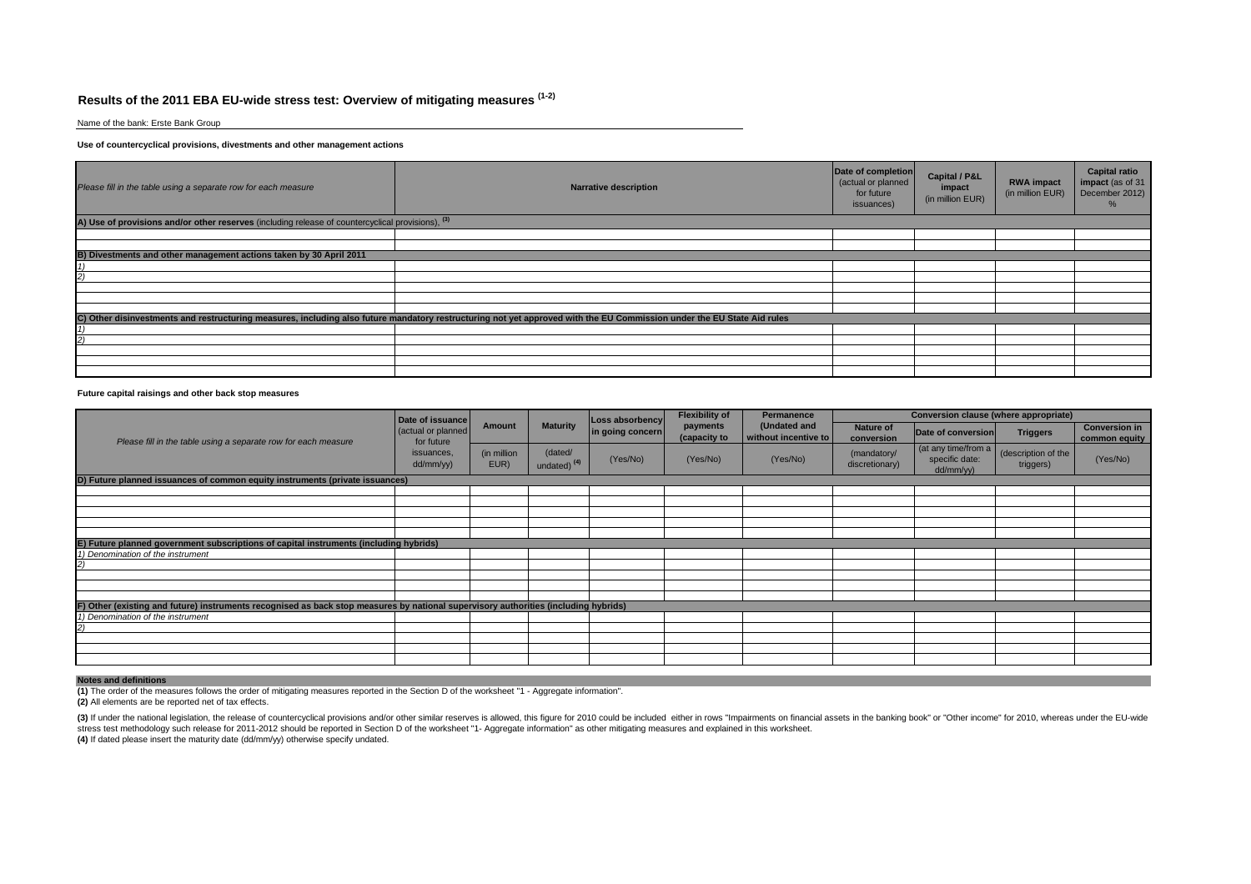# **Results of the 2011 EBA EU-wide stress test: Overview of mitigating measures (1-2)**

Name of the bank: Erste Bank Group

#### **Use of countercyclical provisions, divestments and other management actions**

| Please fill in the table using a separate row for each measure                                               | <b>Narrative description</b>                                                                                                                                           | Date of completion<br>(actual or planned<br>for future<br>issuances) | Capital / P&L<br>impact<br>(in million EUR) | <b>RWA impact</b><br>(in million EUR) | <b>Capital ratio</b><br>impact (as of 31<br>December 2012) |
|--------------------------------------------------------------------------------------------------------------|------------------------------------------------------------------------------------------------------------------------------------------------------------------------|----------------------------------------------------------------------|---------------------------------------------|---------------------------------------|------------------------------------------------------------|
| A) Use of provisions and/or other reserves (including release of countercyclical provisions), <sup>(3)</sup> |                                                                                                                                                                        |                                                                      |                                             |                                       |                                                            |
|                                                                                                              |                                                                                                                                                                        |                                                                      |                                             |                                       |                                                            |
|                                                                                                              |                                                                                                                                                                        |                                                                      |                                             |                                       |                                                            |
| B) Divestments and other management actions taken by 30 April 2011                                           |                                                                                                                                                                        |                                                                      |                                             |                                       |                                                            |
|                                                                                                              |                                                                                                                                                                        |                                                                      |                                             |                                       |                                                            |
|                                                                                                              |                                                                                                                                                                        |                                                                      |                                             |                                       |                                                            |
|                                                                                                              |                                                                                                                                                                        |                                                                      |                                             |                                       |                                                            |
|                                                                                                              |                                                                                                                                                                        |                                                                      |                                             |                                       |                                                            |
|                                                                                                              |                                                                                                                                                                        |                                                                      |                                             |                                       |                                                            |
|                                                                                                              | C) Other disinvestments and restructuring measures, including also future mandatory restructuring not yet approved with the EU Commission under the EU State Aid rules |                                                                      |                                             |                                       |                                                            |
|                                                                                                              |                                                                                                                                                                        |                                                                      |                                             |                                       |                                                            |
|                                                                                                              |                                                                                                                                                                        |                                                                      |                                             |                                       |                                                            |
|                                                                                                              |                                                                                                                                                                        |                                                                      |                                             |                                       |                                                            |
|                                                                                                              |                                                                                                                                                                        |                                                                      |                                             |                                       |                                                            |
|                                                                                                              |                                                                                                                                                                        |                                                                      |                                             |                                       |                                                            |

### **Future capital raisings and other back stop measures**

|                                                                                                                                     | Date of issuance                  |                     |                                    | Loss absorbency<br>in going concern | <b>Flexibility of</b>    | Permanence                           | <b>Conversion clause (where appropriate)</b> |                                                    |                                  |                                       |  |
|-------------------------------------------------------------------------------------------------------------------------------------|-----------------------------------|---------------------|------------------------------------|-------------------------------------|--------------------------|--------------------------------------|----------------------------------------------|----------------------------------------------------|----------------------------------|---------------------------------------|--|
| Please fill in the table using a separate row for each measure                                                                      | (actual or planned)<br>for future | Amount              | <b>Maturity</b>                    |                                     | payments<br>(capacity to | (Undated and<br>without incentive to | <b>Nature of</b><br>conversion               | Date of conversion                                 | <b>Triggers</b>                  | <b>Conversion in</b><br>common equity |  |
|                                                                                                                                     | issuances,<br>dd/mm/yy)           | (in million<br>EUR) | (dated/<br>undated) <sup>(4)</sup> | (Yes/No)                            | (Yes/No)                 | (Yes/No)                             | (mandatory/<br>discretionary)                | (at any time/from a<br>specific date:<br>dd/mm/yy) | (description of the<br>triggers) | (Yes/No)                              |  |
| D) Future planned issuances of common equity instruments (private issuances)                                                        |                                   |                     |                                    |                                     |                          |                                      |                                              |                                                    |                                  |                                       |  |
|                                                                                                                                     |                                   |                     |                                    |                                     |                          |                                      |                                              |                                                    |                                  |                                       |  |
|                                                                                                                                     |                                   |                     |                                    |                                     |                          |                                      |                                              |                                                    |                                  |                                       |  |
|                                                                                                                                     |                                   |                     |                                    |                                     |                          |                                      |                                              |                                                    |                                  |                                       |  |
|                                                                                                                                     |                                   |                     |                                    |                                     |                          |                                      |                                              |                                                    |                                  |                                       |  |
|                                                                                                                                     |                                   |                     |                                    |                                     |                          |                                      |                                              |                                                    |                                  |                                       |  |
| E) Future planned government subscriptions of capital instruments (including hybrids)<br>1) Denomination of the instrument          |                                   |                     |                                    |                                     |                          |                                      |                                              |                                                    |                                  |                                       |  |
| 21                                                                                                                                  |                                   |                     |                                    |                                     |                          |                                      |                                              |                                                    |                                  |                                       |  |
|                                                                                                                                     |                                   |                     |                                    |                                     |                          |                                      |                                              |                                                    |                                  |                                       |  |
|                                                                                                                                     |                                   |                     |                                    |                                     |                          |                                      |                                              |                                                    |                                  |                                       |  |
|                                                                                                                                     |                                   |                     |                                    |                                     |                          |                                      |                                              |                                                    |                                  |                                       |  |
| F) Other (existing and future) instruments recognised as back stop measures by national supervisory authorities (including hybrids) |                                   |                     |                                    |                                     |                          |                                      |                                              |                                                    |                                  |                                       |  |
| 1) Denomination of the instrument                                                                                                   |                                   |                     |                                    |                                     |                          |                                      |                                              |                                                    |                                  |                                       |  |
|                                                                                                                                     |                                   |                     |                                    |                                     |                          |                                      |                                              |                                                    |                                  |                                       |  |
|                                                                                                                                     |                                   |                     |                                    |                                     |                          |                                      |                                              |                                                    |                                  |                                       |  |
|                                                                                                                                     |                                   |                     |                                    |                                     |                          |                                      |                                              |                                                    |                                  |                                       |  |
|                                                                                                                                     |                                   |                     |                                    |                                     |                          |                                      |                                              |                                                    |                                  |                                       |  |

#### **Notes and definitions**

**(1)** The order of the measures follows the order of mitigating measures reported in the Section D of the worksheet "1 - Aggregate information".

**(2)** All elements are be reported net of tax effects.

(3) If under the national legislation, the release of countercyclical provisions and/or other similar reserves is allowed, this figure for 2010 could be included either in rows "Impairments on financial assets in the banki stress test methodology such release for 2011-2012 should be reported in Section D of the worksheet "1- Aggregate information" as other mitigating measures and explained in this worksheet. **(4)** If dated please insert the maturity date (dd/mm/yy) otherwise specify undated.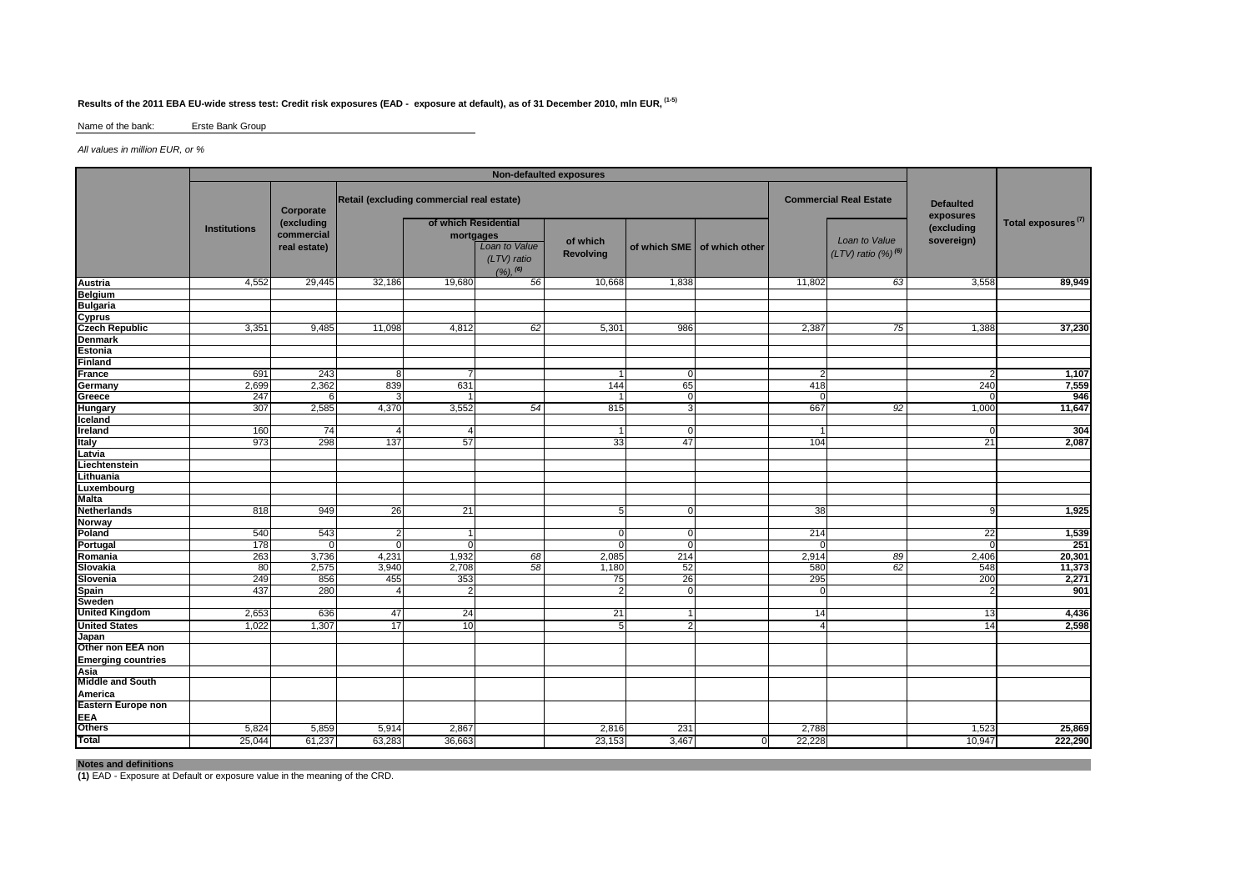## **Results of the 2011 EBA EU-wide stress test: Credit risk exposures (EAD - exposure at default), as of 31 December 2010, mln EUR, (1-5)**

#### Name of the bank: Erste Bank Group

### All values in million EUR, or %

| Retail (excluding commercial real estate)<br><b>Commercial Real Estate</b><br><b>Defaulted</b><br>Corporate<br>exposures<br>Total exposures <sup>(7)</sup><br>(excluding<br>of which Residential<br>(excluding<br><b>Institutions</b><br>commercial<br>mortgages<br>Loan to Value<br>sovereign)<br>of which<br>Loan to Value<br>of which SME of which other<br>real estate)<br>$(LTV)$ ratio $(\%)^{(6)}$<br>Revolving<br>(LTV) ratio<br>(%), (6)<br>3,558<br>4,552<br>29,445<br>32,186<br>19,680<br>56<br>10,668<br>1,838<br>11,802<br>63<br><b>Belgium</b><br><b>Bulgaria</b><br>Cyprus<br>Czech Republic<br>37,230<br>3,351<br>9,485<br>11,098<br>4,812<br>62<br>5,301<br>986<br>2,387<br>75<br>1,388<br>Estonia<br>France<br>691<br>243<br>1,107<br>$\mathbf 0$<br>8<br>2,699<br>2,362<br>65<br>7,559<br>839<br>631<br>144<br>240<br>418<br>Germany<br>946<br>Greece<br>247<br>$\overline{0}$<br>307<br>2,585<br>4,370<br>3,552<br>54<br>11,647<br>815<br>3<br>667<br>92<br>1,000<br>Hungary<br>Iceland<br>304<br>Ireland<br>160<br>74<br>$\Omega$<br>$\prime$<br>298<br>137<br>2,087<br>973<br>57<br>33<br>47<br>104<br>21<br>Latvia<br>Lithuania<br>Luxembourg<br>1,925<br>818<br>949<br>26<br>21<br>38<br>$\mathbf 0$<br>5<br>1,539<br>Poland<br>540<br>543<br>214<br>22<br>2<br>$\Omega$<br>$\Omega$<br>Portugal<br>251<br>178<br>$\Omega$<br>$\Omega$<br>$\Omega$<br>$\Omega$<br>263<br>20,301<br>3,736<br>4,231<br>1,932<br>68<br>2,085<br>214<br>2,914<br>89<br>2,406<br>11,373<br>80<br>2,575<br>3,940<br>2,708<br>58<br>52<br>62<br>548<br>1,180<br>580<br>249<br>856<br>455<br>353<br>26<br>295<br>200<br>2,271<br>75<br>280<br>901<br>437<br>$\overline{0}$<br>$\overline{2}$<br>Sweden<br><b>United Kingdom</b><br>2,653<br>636<br>47<br>24<br>21<br>14<br>13<br>17<br>1,022<br>1,307<br>10<br>2<br>14<br>5<br>Japan<br>Other non EEA non<br><b>Emerging countries</b><br><b>EEA</b><br>Others<br>5,824<br>5,859<br>2,867<br>2,816<br>231<br>2,788<br>1,523<br>5,914<br>222,290<br>61,237<br>36,663<br>3,467<br>22,228<br>10,947<br>25,044<br>63,283<br>23,153<br>$\mathbf{0}$ |                           | Non-defaulted exposures |  |  |  |  |  |  |  |  |  |        |
|------------------------------------------------------------------------------------------------------------------------------------------------------------------------------------------------------------------------------------------------------------------------------------------------------------------------------------------------------------------------------------------------------------------------------------------------------------------------------------------------------------------------------------------------------------------------------------------------------------------------------------------------------------------------------------------------------------------------------------------------------------------------------------------------------------------------------------------------------------------------------------------------------------------------------------------------------------------------------------------------------------------------------------------------------------------------------------------------------------------------------------------------------------------------------------------------------------------------------------------------------------------------------------------------------------------------------------------------------------------------------------------------------------------------------------------------------------------------------------------------------------------------------------------------------------------------------------------------------------------------------------------------------------------------------------------------------------------------------------------------------------------------------------------------------------------------------------------------------------------------------------------------------------------------------------------------------------------------------------------------------------------------------------------------------------------------------------------------|---------------------------|-------------------------|--|--|--|--|--|--|--|--|--|--------|
|                                                                                                                                                                                                                                                                                                                                                                                                                                                                                                                                                                                                                                                                                                                                                                                                                                                                                                                                                                                                                                                                                                                                                                                                                                                                                                                                                                                                                                                                                                                                                                                                                                                                                                                                                                                                                                                                                                                                                                                                                                                                                                |                           |                         |  |  |  |  |  |  |  |  |  |        |
|                                                                                                                                                                                                                                                                                                                                                                                                                                                                                                                                                                                                                                                                                                                                                                                                                                                                                                                                                                                                                                                                                                                                                                                                                                                                                                                                                                                                                                                                                                                                                                                                                                                                                                                                                                                                                                                                                                                                                                                                                                                                                                |                           |                         |  |  |  |  |  |  |  |  |  |        |
|                                                                                                                                                                                                                                                                                                                                                                                                                                                                                                                                                                                                                                                                                                                                                                                                                                                                                                                                                                                                                                                                                                                                                                                                                                                                                                                                                                                                                                                                                                                                                                                                                                                                                                                                                                                                                                                                                                                                                                                                                                                                                                | Austria                   |                         |  |  |  |  |  |  |  |  |  | 89,949 |
|                                                                                                                                                                                                                                                                                                                                                                                                                                                                                                                                                                                                                                                                                                                                                                                                                                                                                                                                                                                                                                                                                                                                                                                                                                                                                                                                                                                                                                                                                                                                                                                                                                                                                                                                                                                                                                                                                                                                                                                                                                                                                                |                           |                         |  |  |  |  |  |  |  |  |  |        |
|                                                                                                                                                                                                                                                                                                                                                                                                                                                                                                                                                                                                                                                                                                                                                                                                                                                                                                                                                                                                                                                                                                                                                                                                                                                                                                                                                                                                                                                                                                                                                                                                                                                                                                                                                                                                                                                                                                                                                                                                                                                                                                |                           |                         |  |  |  |  |  |  |  |  |  |        |
|                                                                                                                                                                                                                                                                                                                                                                                                                                                                                                                                                                                                                                                                                                                                                                                                                                                                                                                                                                                                                                                                                                                                                                                                                                                                                                                                                                                                                                                                                                                                                                                                                                                                                                                                                                                                                                                                                                                                                                                                                                                                                                |                           |                         |  |  |  |  |  |  |  |  |  |        |
|                                                                                                                                                                                                                                                                                                                                                                                                                                                                                                                                                                                                                                                                                                                                                                                                                                                                                                                                                                                                                                                                                                                                                                                                                                                                                                                                                                                                                                                                                                                                                                                                                                                                                                                                                                                                                                                                                                                                                                                                                                                                                                |                           |                         |  |  |  |  |  |  |  |  |  |        |
|                                                                                                                                                                                                                                                                                                                                                                                                                                                                                                                                                                                                                                                                                                                                                                                                                                                                                                                                                                                                                                                                                                                                                                                                                                                                                                                                                                                                                                                                                                                                                                                                                                                                                                                                                                                                                                                                                                                                                                                                                                                                                                | <b>Denmark</b>            |                         |  |  |  |  |  |  |  |  |  |        |
|                                                                                                                                                                                                                                                                                                                                                                                                                                                                                                                                                                                                                                                                                                                                                                                                                                                                                                                                                                                                                                                                                                                                                                                                                                                                                                                                                                                                                                                                                                                                                                                                                                                                                                                                                                                                                                                                                                                                                                                                                                                                                                |                           |                         |  |  |  |  |  |  |  |  |  |        |
|                                                                                                                                                                                                                                                                                                                                                                                                                                                                                                                                                                                                                                                                                                                                                                                                                                                                                                                                                                                                                                                                                                                                                                                                                                                                                                                                                                                                                                                                                                                                                                                                                                                                                                                                                                                                                                                                                                                                                                                                                                                                                                | Finland                   |                         |  |  |  |  |  |  |  |  |  |        |
|                                                                                                                                                                                                                                                                                                                                                                                                                                                                                                                                                                                                                                                                                                                                                                                                                                                                                                                                                                                                                                                                                                                                                                                                                                                                                                                                                                                                                                                                                                                                                                                                                                                                                                                                                                                                                                                                                                                                                                                                                                                                                                |                           |                         |  |  |  |  |  |  |  |  |  |        |
|                                                                                                                                                                                                                                                                                                                                                                                                                                                                                                                                                                                                                                                                                                                                                                                                                                                                                                                                                                                                                                                                                                                                                                                                                                                                                                                                                                                                                                                                                                                                                                                                                                                                                                                                                                                                                                                                                                                                                                                                                                                                                                |                           |                         |  |  |  |  |  |  |  |  |  |        |
|                                                                                                                                                                                                                                                                                                                                                                                                                                                                                                                                                                                                                                                                                                                                                                                                                                                                                                                                                                                                                                                                                                                                                                                                                                                                                                                                                                                                                                                                                                                                                                                                                                                                                                                                                                                                                                                                                                                                                                                                                                                                                                |                           |                         |  |  |  |  |  |  |  |  |  |        |
|                                                                                                                                                                                                                                                                                                                                                                                                                                                                                                                                                                                                                                                                                                                                                                                                                                                                                                                                                                                                                                                                                                                                                                                                                                                                                                                                                                                                                                                                                                                                                                                                                                                                                                                                                                                                                                                                                                                                                                                                                                                                                                |                           |                         |  |  |  |  |  |  |  |  |  |        |
|                                                                                                                                                                                                                                                                                                                                                                                                                                                                                                                                                                                                                                                                                                                                                                                                                                                                                                                                                                                                                                                                                                                                                                                                                                                                                                                                                                                                                                                                                                                                                                                                                                                                                                                                                                                                                                                                                                                                                                                                                                                                                                |                           |                         |  |  |  |  |  |  |  |  |  |        |
|                                                                                                                                                                                                                                                                                                                                                                                                                                                                                                                                                                                                                                                                                                                                                                                                                                                                                                                                                                                                                                                                                                                                                                                                                                                                                                                                                                                                                                                                                                                                                                                                                                                                                                                                                                                                                                                                                                                                                                                                                                                                                                |                           |                         |  |  |  |  |  |  |  |  |  |        |
|                                                                                                                                                                                                                                                                                                                                                                                                                                                                                                                                                                                                                                                                                                                                                                                                                                                                                                                                                                                                                                                                                                                                                                                                                                                                                                                                                                                                                                                                                                                                                                                                                                                                                                                                                                                                                                                                                                                                                                                                                                                                                                | Italy                     |                         |  |  |  |  |  |  |  |  |  |        |
|                                                                                                                                                                                                                                                                                                                                                                                                                                                                                                                                                                                                                                                                                                                                                                                                                                                                                                                                                                                                                                                                                                                                                                                                                                                                                                                                                                                                                                                                                                                                                                                                                                                                                                                                                                                                                                                                                                                                                                                                                                                                                                |                           |                         |  |  |  |  |  |  |  |  |  |        |
|                                                                                                                                                                                                                                                                                                                                                                                                                                                                                                                                                                                                                                                                                                                                                                                                                                                                                                                                                                                                                                                                                                                                                                                                                                                                                                                                                                                                                                                                                                                                                                                                                                                                                                                                                                                                                                                                                                                                                                                                                                                                                                | Liechtenstein             |                         |  |  |  |  |  |  |  |  |  |        |
|                                                                                                                                                                                                                                                                                                                                                                                                                                                                                                                                                                                                                                                                                                                                                                                                                                                                                                                                                                                                                                                                                                                                                                                                                                                                                                                                                                                                                                                                                                                                                                                                                                                                                                                                                                                                                                                                                                                                                                                                                                                                                                |                           |                         |  |  |  |  |  |  |  |  |  |        |
|                                                                                                                                                                                                                                                                                                                                                                                                                                                                                                                                                                                                                                                                                                                                                                                                                                                                                                                                                                                                                                                                                                                                                                                                                                                                                                                                                                                                                                                                                                                                                                                                                                                                                                                                                                                                                                                                                                                                                                                                                                                                                                |                           |                         |  |  |  |  |  |  |  |  |  |        |
|                                                                                                                                                                                                                                                                                                                                                                                                                                                                                                                                                                                                                                                                                                                                                                                                                                                                                                                                                                                                                                                                                                                                                                                                                                                                                                                                                                                                                                                                                                                                                                                                                                                                                                                                                                                                                                                                                                                                                                                                                                                                                                | <b>Malta</b>              |                         |  |  |  |  |  |  |  |  |  |        |
|                                                                                                                                                                                                                                                                                                                                                                                                                                                                                                                                                                                                                                                                                                                                                                                                                                                                                                                                                                                                                                                                                                                                                                                                                                                                                                                                                                                                                                                                                                                                                                                                                                                                                                                                                                                                                                                                                                                                                                                                                                                                                                | <b>Netherlands</b>        |                         |  |  |  |  |  |  |  |  |  |        |
|                                                                                                                                                                                                                                                                                                                                                                                                                                                                                                                                                                                                                                                                                                                                                                                                                                                                                                                                                                                                                                                                                                                                                                                                                                                                                                                                                                                                                                                                                                                                                                                                                                                                                                                                                                                                                                                                                                                                                                                                                                                                                                | <b>Norway</b>             |                         |  |  |  |  |  |  |  |  |  |        |
|                                                                                                                                                                                                                                                                                                                                                                                                                                                                                                                                                                                                                                                                                                                                                                                                                                                                                                                                                                                                                                                                                                                                                                                                                                                                                                                                                                                                                                                                                                                                                                                                                                                                                                                                                                                                                                                                                                                                                                                                                                                                                                |                           |                         |  |  |  |  |  |  |  |  |  |        |
|                                                                                                                                                                                                                                                                                                                                                                                                                                                                                                                                                                                                                                                                                                                                                                                                                                                                                                                                                                                                                                                                                                                                                                                                                                                                                                                                                                                                                                                                                                                                                                                                                                                                                                                                                                                                                                                                                                                                                                                                                                                                                                |                           |                         |  |  |  |  |  |  |  |  |  |        |
|                                                                                                                                                                                                                                                                                                                                                                                                                                                                                                                                                                                                                                                                                                                                                                                                                                                                                                                                                                                                                                                                                                                                                                                                                                                                                                                                                                                                                                                                                                                                                                                                                                                                                                                                                                                                                                                                                                                                                                                                                                                                                                | Romania                   |                         |  |  |  |  |  |  |  |  |  |        |
|                                                                                                                                                                                                                                                                                                                                                                                                                                                                                                                                                                                                                                                                                                                                                                                                                                                                                                                                                                                                                                                                                                                                                                                                                                                                                                                                                                                                                                                                                                                                                                                                                                                                                                                                                                                                                                                                                                                                                                                                                                                                                                | Slovakia                  |                         |  |  |  |  |  |  |  |  |  |        |
|                                                                                                                                                                                                                                                                                                                                                                                                                                                                                                                                                                                                                                                                                                                                                                                                                                                                                                                                                                                                                                                                                                                                                                                                                                                                                                                                                                                                                                                                                                                                                                                                                                                                                                                                                                                                                                                                                                                                                                                                                                                                                                | Slovenia                  |                         |  |  |  |  |  |  |  |  |  |        |
|                                                                                                                                                                                                                                                                                                                                                                                                                                                                                                                                                                                                                                                                                                                                                                                                                                                                                                                                                                                                                                                                                                                                                                                                                                                                                                                                                                                                                                                                                                                                                                                                                                                                                                                                                                                                                                                                                                                                                                                                                                                                                                | <b>Spain</b>              |                         |  |  |  |  |  |  |  |  |  |        |
|                                                                                                                                                                                                                                                                                                                                                                                                                                                                                                                                                                                                                                                                                                                                                                                                                                                                                                                                                                                                                                                                                                                                                                                                                                                                                                                                                                                                                                                                                                                                                                                                                                                                                                                                                                                                                                                                                                                                                                                                                                                                                                |                           |                         |  |  |  |  |  |  |  |  |  |        |
|                                                                                                                                                                                                                                                                                                                                                                                                                                                                                                                                                                                                                                                                                                                                                                                                                                                                                                                                                                                                                                                                                                                                                                                                                                                                                                                                                                                                                                                                                                                                                                                                                                                                                                                                                                                                                                                                                                                                                                                                                                                                                                |                           |                         |  |  |  |  |  |  |  |  |  | 4,436  |
|                                                                                                                                                                                                                                                                                                                                                                                                                                                                                                                                                                                                                                                                                                                                                                                                                                                                                                                                                                                                                                                                                                                                                                                                                                                                                                                                                                                                                                                                                                                                                                                                                                                                                                                                                                                                                                                                                                                                                                                                                                                                                                | <b>United States</b>      |                         |  |  |  |  |  |  |  |  |  | 2,598  |
|                                                                                                                                                                                                                                                                                                                                                                                                                                                                                                                                                                                                                                                                                                                                                                                                                                                                                                                                                                                                                                                                                                                                                                                                                                                                                                                                                                                                                                                                                                                                                                                                                                                                                                                                                                                                                                                                                                                                                                                                                                                                                                |                           |                         |  |  |  |  |  |  |  |  |  |        |
|                                                                                                                                                                                                                                                                                                                                                                                                                                                                                                                                                                                                                                                                                                                                                                                                                                                                                                                                                                                                                                                                                                                                                                                                                                                                                                                                                                                                                                                                                                                                                                                                                                                                                                                                                                                                                                                                                                                                                                                                                                                                                                |                           |                         |  |  |  |  |  |  |  |  |  |        |
|                                                                                                                                                                                                                                                                                                                                                                                                                                                                                                                                                                                                                                                                                                                                                                                                                                                                                                                                                                                                                                                                                                                                                                                                                                                                                                                                                                                                                                                                                                                                                                                                                                                                                                                                                                                                                                                                                                                                                                                                                                                                                                |                           |                         |  |  |  |  |  |  |  |  |  |        |
|                                                                                                                                                                                                                                                                                                                                                                                                                                                                                                                                                                                                                                                                                                                                                                                                                                                                                                                                                                                                                                                                                                                                                                                                                                                                                                                                                                                                                                                                                                                                                                                                                                                                                                                                                                                                                                                                                                                                                                                                                                                                                                | Asia                      |                         |  |  |  |  |  |  |  |  |  |        |
|                                                                                                                                                                                                                                                                                                                                                                                                                                                                                                                                                                                                                                                                                                                                                                                                                                                                                                                                                                                                                                                                                                                                                                                                                                                                                                                                                                                                                                                                                                                                                                                                                                                                                                                                                                                                                                                                                                                                                                                                                                                                                                | <b>Middle and South</b>   |                         |  |  |  |  |  |  |  |  |  |        |
|                                                                                                                                                                                                                                                                                                                                                                                                                                                                                                                                                                                                                                                                                                                                                                                                                                                                                                                                                                                                                                                                                                                                                                                                                                                                                                                                                                                                                                                                                                                                                                                                                                                                                                                                                                                                                                                                                                                                                                                                                                                                                                | America                   |                         |  |  |  |  |  |  |  |  |  |        |
|                                                                                                                                                                                                                                                                                                                                                                                                                                                                                                                                                                                                                                                                                                                                                                                                                                                                                                                                                                                                                                                                                                                                                                                                                                                                                                                                                                                                                                                                                                                                                                                                                                                                                                                                                                                                                                                                                                                                                                                                                                                                                                | <b>Eastern Europe non</b> |                         |  |  |  |  |  |  |  |  |  |        |
|                                                                                                                                                                                                                                                                                                                                                                                                                                                                                                                                                                                                                                                                                                                                                                                                                                                                                                                                                                                                                                                                                                                                                                                                                                                                                                                                                                                                                                                                                                                                                                                                                                                                                                                                                                                                                                                                                                                                                                                                                                                                                                |                           |                         |  |  |  |  |  |  |  |  |  |        |
|                                                                                                                                                                                                                                                                                                                                                                                                                                                                                                                                                                                                                                                                                                                                                                                                                                                                                                                                                                                                                                                                                                                                                                                                                                                                                                                                                                                                                                                                                                                                                                                                                                                                                                                                                                                                                                                                                                                                                                                                                                                                                                |                           |                         |  |  |  |  |  |  |  |  |  | 25,869 |
|                                                                                                                                                                                                                                                                                                                                                                                                                                                                                                                                                                                                                                                                                                                                                                                                                                                                                                                                                                                                                                                                                                                                                                                                                                                                                                                                                                                                                                                                                                                                                                                                                                                                                                                                                                                                                                                                                                                                                                                                                                                                                                | Total                     |                         |  |  |  |  |  |  |  |  |  |        |

**Notes and definitions (1)** EAD - Exposure at Default or exposure value in the meaning of the CRD.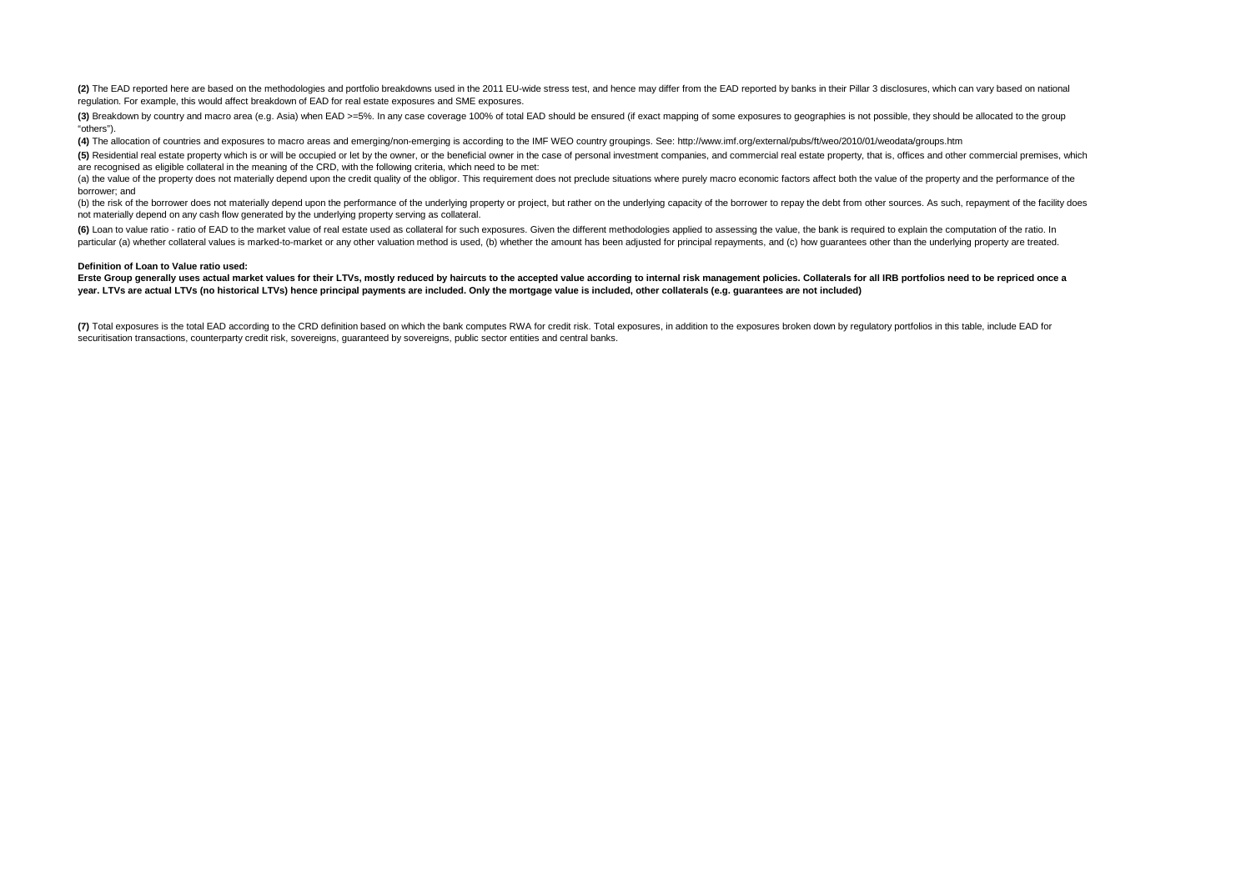(2) The EAD reported here are based on the methodologies and portfolio breakdowns used in the 2011 EU-wide stress test, and hence may differ from the EAD reported by banks in their Pillar 3 disclosures, which can vary base regulation. For example, this would affect breakdown of EAD for real estate exposures and SME exposures.

(3) Breakdown by country and macro area (e.g. Asia) when EAD >=5%. In any case coverage 100% of total EAD should be ensured (if exact mapping of some exposures to geographies is not possible, they should be allocated to th "others").

**(4)** The allocation of countries and exposures to macro areas and emerging/non-emerging is according to the IMF WEO country groupings. See: http://www.imf.org/external/pubs/ft/weo/2010/01/weodata/groups.htm

(5) Residential real estate property which is or will be occupied or let by the owner, or the beneficial owner in the case of personal investment companies, and commercial real estate property, that is, offices and other c are recognised as eligible collateral in the meaning of the CRD, with the following criteria, which need to be met:

(a) the value of the property does not materially depend upon the credit quality of the obligor. This requirement does not preclude situations where purely macro economic factors affect both the value of the property and t borrower; and

(b) the risk of the borrower does not materially depend upon the performance of the underlying property or project, but rather on the underlying capacity of the borrower to repay the debt from other sources. As such, repay not materially depend on any cash flow generated by the underlying property serving as collateral.

(6) Loan to value ratio - ratio of EAD to the market value of real estate used as collateral for such exposures. Given the different methodologies applied to assessing the value, the bank is required to explain the computa particular (a) whether collateral values is marked-to-market or any other valuation method is used, (b) whether the amount has been adjusted for principal repayments, and (c) how guarantees other than the underlying proper

#### **Definition of Loan to Value ratio used:**

#### Erste Group generally uses actual market values for their LTVs, mostly reduced by haircuts to the accepted value according to internal risk management policies. Collaterals for all IRB portfolios need to be repriced once a **year. LTVs are actual LTVs (no historical LTVs) hence principal payments are included. Only the mortgage value is included, other collaterals (e.g. guarantees are not included)**

(7) Total exposures is the total EAD according to the CRD definition based on which the bank computes RWA for credit risk. Total exposures, in addition to the exposures broken down by regulatory portfolios in this table, i securitisation transactions, counterparty credit risk, sovereigns, guaranteed by sovereigns, public sector entities and central banks.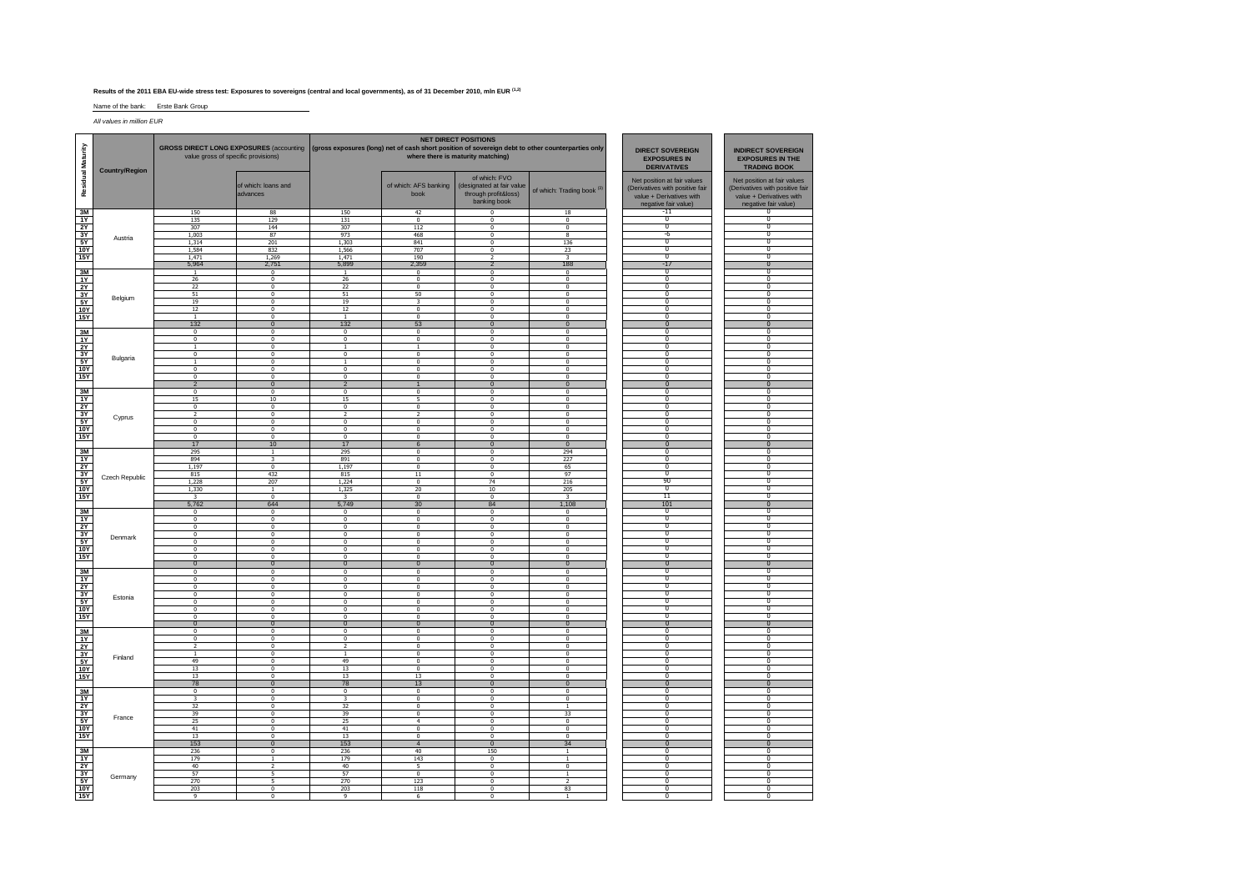#### **Results of the 2011 EBA EU-wide stress test: Exposures to sovereigns (central and local governments), as of 31 December 2010, mln EUR (1,2)**

Name of the bank: Erste Bank Group

All values in million EUR

| Maturity              |                       | <b>GROSS DIRECT LONG EXPOSURES (accounting</b><br>value gross of specific provisions) |                                           |                                         |                                            | <b>NET DIRECT POSITIONS</b><br>(gross exposures (long) net of cash short position of sovereign debt to other counterparties only<br>where there is maturity matching) | <b>DIRECT SOVEREIGN</b><br><b>EXPOSURES IN</b><br><b>DERIVATIVES</b> | <b>INDIRECT SOVEREIGN</b><br><b>EXPOSURES IN THE</b><br><b>TRADING BOOK</b>                                        |                                                                                                                    |
|-----------------------|-----------------------|---------------------------------------------------------------------------------------|-------------------------------------------|-----------------------------------------|--------------------------------------------|-----------------------------------------------------------------------------------------------------------------------------------------------------------------------|----------------------------------------------------------------------|--------------------------------------------------------------------------------------------------------------------|--------------------------------------------------------------------------------------------------------------------|
| <b>Residual</b>       | <b>Country/Region</b> |                                                                                       | of which: loans and<br>advances           |                                         | of which: AFS banking<br>book              | of which: FVO<br>(designated at fair value<br>through profit&loss)<br>banking book                                                                                    | of which: Trading book (3)                                           | Net position at fair values<br>(Derivatives with positive fair<br>value + Derivatives with<br>negative fair value) | Net position at fair values<br>(Derivatives with positive fair<br>value + Derivatives with<br>negative fair value) |
| 3M                    |                       | 150                                                                                   | 88                                        | 150                                     | 42                                         | $\mathbf 0$                                                                                                                                                           | 18                                                                   | $-11$                                                                                                              | $^{\circ}$                                                                                                         |
| 1Y                    | Austria               | 135<br>307                                                                            | 129<br>144                                | 131<br>307                              | $\overline{0}$<br>112                      | $\mathbf 0$<br>$\Omega$                                                                                                                                               | $\mathbf{0}$<br>$\Omega$                                             | $\overline{0}$<br>$\overline{0}$                                                                                   | $\overline{\mathbf{0}}$<br>Ō                                                                                       |
| 2Y<br>3Y              |                       | 1,003                                                                                 | 87                                        | 973                                     | 468                                        | $\overline{0}$                                                                                                                                                        | 8                                                                    | $-6$                                                                                                               | $\overline{0}$                                                                                                     |
| 5Y                    |                       | 1,314                                                                                 | 201                                       | 1,303                                   | 841                                        | $\overline{\mathbf{0}}$                                                                                                                                               | 136                                                                  | n                                                                                                                  | 0                                                                                                                  |
| <b>10Y</b>            |                       | 1,584                                                                                 | 832                                       | 1,566                                   | 707                                        | $\Omega$                                                                                                                                                              | 23                                                                   | $\Omega$                                                                                                           | $\overline{0}$                                                                                                     |
| <b>15Y</b>            |                       | 1,471                                                                                 | 1,269                                     | 1,471                                   | 190                                        | $\overline{z}$                                                                                                                                                        | $\mathbf{R}$                                                         | $\Omega$                                                                                                           | $\Omega$                                                                                                           |
|                       |                       | 5,964                                                                                 | 2.751                                     | 5.899                                   | 2,359                                      | $\overline{2}$                                                                                                                                                        | 188                                                                  | $-17$                                                                                                              | $\overline{0}$                                                                                                     |
| 3M                    |                       | $\mathbf{1}$                                                                          | $\Omega$                                  | $\overline{1}$                          | $\Omega$                                   | $\mathbf 0$                                                                                                                                                           | $\Omega$                                                             | $\Omega$                                                                                                           | $\overline{0}$                                                                                                     |
| 1Y                    |                       | 26                                                                                    | $\overline{0}$                            | 26                                      | $\overline{0}$                             | $\overline{0}$                                                                                                                                                        | $\overline{0}$                                                       | $\sqrt{2}$<br>$\overline{0}$                                                                                       | $^{\circ}$                                                                                                         |
| 2Y                    | 3Y<br>Belgium         | 22<br>51                                                                              | $\overline{0}$<br>$\Omega$                | 22<br>51                                | $\overline{\mathbf{0}}$<br>50              | $\overline{\mathbf{0}}$<br>$\Omega$                                                                                                                                   | $\overline{\mathbf{0}}$<br>$\Omega$                                  | $\Omega$                                                                                                           | $\overline{\mathbf{0}}$<br>Ō                                                                                       |
| <b>5Y</b>             |                       | 19                                                                                    | 0                                         | 19                                      | $\overline{\mathbf{3}}$                    | $\mathbf{0}$                                                                                                                                                          | $\mathbf{0}$                                                         | $\Omega$                                                                                                           | $\Omega$                                                                                                           |
| <b>10Y</b>            |                       | 12                                                                                    | $^{\circ}$                                | 12                                      | $\overline{\mathbf{0}}$                    | $\mathbf 0$                                                                                                                                                           | $\mathbf 0$                                                          | n                                                                                                                  | 0                                                                                                                  |
| <b>15Y</b>            |                       | $\overline{1}$                                                                        | $\Omega$                                  | $\overline{1}$                          | $\Omega$                                   | $\Omega$                                                                                                                                                              | $\Omega$                                                             | $\overline{0}$                                                                                                     | $\overline{0}$                                                                                                     |
|                       |                       | 132                                                                                   | $\mathbf{0}$                              | 132                                     | 53                                         | $\mathbf{0}$                                                                                                                                                          | $\pmb{0}$                                                            | $\mathbf{0}$                                                                                                       | $\bf{0}$                                                                                                           |
| 3M                    |                       | $^{\circ}$                                                                            | $\mathbf 0$                               | $^{\circ}$                              | $\overline{0}$                             | $\mathbf 0$                                                                                                                                                           | $^{\circ}$                                                           |                                                                                                                    | $\overline{\mathfrak{o}}$                                                                                          |
| 1Y                    |                       | $\Omega$                                                                              | $\Omega$                                  | $\Omega$                                | $\Omega$                                   | $\Omega$                                                                                                                                                              | $\Omega$<br>$\overline{0}$                                           | $\overline{0}$<br>$\sqrt{2}$                                                                                       | $\overline{0}$<br>$\sqrt{2}$                                                                                       |
| <b>2Y</b><br>3Y       |                       | $\mathbf{1}$<br>0                                                                     | $\overline{0}$<br>$\overline{0}$          | $\overline{\mathbf{0}}$                 | $\overline{0}$                             | $\overline{0}$<br>$\overline{\mathbf{0}}$                                                                                                                             | $\overline{0}$                                                       | $\overline{0}$                                                                                                     | $\overline{\mathbf{0}}$                                                                                            |
| 5Y                    | Bulgaria              | $\overline{1}$                                                                        | $\Omega$                                  | $\overline{1}$                          | $\Omega$                                   | $\Omega$                                                                                                                                                              | $\Omega$                                                             | $\Omega$                                                                                                           | $\overline{\mathbf{0}}$                                                                                            |
| <b>10Y</b>            |                       | $^{\circ}$                                                                            | $\Omega$                                  | $^{\circ}$                              | $\overline{0}$                             | $^{\circ}$                                                                                                                                                            | $\mathbf{0}$                                                         | $\Omega$                                                                                                           | $\Omega$                                                                                                           |
| <b>15Y</b>            |                       | $\mathbf 0$                                                                           | $\mathbf 0$                               | $^{\circ}$                              | $\overline{0}$                             | $\overline{0}$                                                                                                                                                        | $\mathbf 0$                                                          | n                                                                                                                  | 0                                                                                                                  |
|                       |                       | $\overline{2}$                                                                        | $\Omega$                                  | $\overline{2}$                          | $\overline{1}$                             | $\Omega$                                                                                                                                                              | $\Omega$                                                             | $\Omega$<br>$\Omega$                                                                                               | $\overline{0}$                                                                                                     |
| 3M<br>$\overline{11}$ |                       | $\mathbf 0$<br>15                                                                     | $\mathbf 0$<br>10                         | $\bf{0}$<br>15                          | $\pmb{0}$<br>5                             | $\mathbf 0$<br>$\mathbf 0$                                                                                                                                            | $\mathbf 0$<br>$\Omega$                                              | n                                                                                                                  | $\Omega$<br>0                                                                                                      |
| 2Y                    |                       | $\Omega$                                                                              | $\Omega$                                  | $\Omega$                                | $\Omega$                                   | $\Omega$                                                                                                                                                              | $\Omega$                                                             | $\overline{0}$                                                                                                     | $\overline{0}$                                                                                                     |
| 3Y                    |                       | $\overline{2}$                                                                        | 0                                         | $\overline{2}$                          | $\overline{\phantom{a}}$                   | $\mathbf{0}$                                                                                                                                                          | $\mathbf{0}$                                                         | $\Omega$                                                                                                           | $\Omega$                                                                                                           |
| 5Y                    | Cyprus                | 0                                                                                     | $\pmb{0}$                                 | $\mathbf{0}$                            | $\overline{0}$                             | 0                                                                                                                                                                     | $\mathbf 0$                                                          | $\Omega$                                                                                                           | $\overline{\mathbf{0}}$                                                                                            |
| <b>10Y</b>            |                       | $\Omega$                                                                              | $\Omega$                                  | $\Omega$                                | $\Omega$                                   | $\Omega$                                                                                                                                                              | $\Omega$                                                             | $\overline{0}$                                                                                                     | 0                                                                                                                  |
| <b>15Y</b>            |                       | $\Omega$                                                                              | $\Omega$                                  | $\Omega$                                | $\Omega$                                   | $\Omega$                                                                                                                                                              | $\Omega$                                                             | $\Omega$                                                                                                           | $\Omega$                                                                                                           |
|                       |                       | 17                                                                                    | 10                                        | 17                                      | 6                                          | $\overline{0}$                                                                                                                                                        | $\overline{0}$                                                       | $\overline{0}$                                                                                                     | $\overline{\mathbf{0}}$                                                                                            |
| $\frac{3M}{1Y}$       |                       | 295<br>894                                                                            | $\mathbf{1}$<br>$\overline{\mathbf{z}}$   | 295<br>891                              | $\Omega$<br>$\pmb{0}$                      | $\Omega$<br>$\mathbf 0$                                                                                                                                               | 294<br>227                                                           | $\overline{0}$<br>$\Omega$                                                                                         | $\overline{\mathfrak{o}}$<br>$\overline{0}$                                                                        |
| 2Y                    |                       | 1,197                                                                                 | $\overline{\mathbf{0}}$                   | 1,197                                   | $\overline{0}$                             | $\overline{\mathbf{0}}$                                                                                                                                               | 65                                                                   | n                                                                                                                  | O                                                                                                                  |
| 3Y                    |                       | 815                                                                                   | 432                                       | 815                                     | 11                                         | $\Omega$                                                                                                                                                              | 97                                                                   | $\overline{\mathbf{0}}$                                                                                            | $\overline{\mathbf{0}}$                                                                                            |
| 5Y                    | Czech Republic        | 1,228                                                                                 | 207                                       | 1,224                                   | $\pmb{0}$                                  | 74                                                                                                                                                                    | 216                                                                  | 90                                                                                                                 | $\Omega$                                                                                                           |
| <b>10Y</b>            |                       | 1,330                                                                                 | $\mathbf{1}$                              | 1,325                                   | 20                                         | 10                                                                                                                                                                    | 205                                                                  | $\overline{0}$                                                                                                     | $\overline{\mathbf{0}}$                                                                                            |
| <b>15Y</b>            |                       | $\overline{\mathbf{3}}$                                                               | $\overline{0}$                            | 3                                       | $\overline{0}$                             | $\Omega$                                                                                                                                                              | 3                                                                    | $11\,$                                                                                                             | 0                                                                                                                  |
| 3M                    |                       | 5,762<br>$\mathbf 0$                                                                  | 644<br>$\overline{0}$                     | 5,749<br>$^{\circ}$                     | 30<br>$\overline{0}$                       | 84<br>$\overline{\mathbf{0}}$                                                                                                                                         | 1,108                                                                | 101<br>$\overline{0}$                                                                                              | $\mathbf{0}$<br>0                                                                                                  |
| 1Y                    |                       | $\overline{0}$                                                                        | $\overline{0}$                            | $\Omega$                                | $\overline{0}$                             | $\Omega$                                                                                                                                                              | $^{\circ}$<br>$\Omega$                                               | $\overline{0}$                                                                                                     | $\overline{0}$                                                                                                     |
| <b>2Y</b>             |                       | $\mathbf 0$                                                                           | $\bf{0}$                                  | $\pmb{0}$                               | $\pmb{0}$                                  | $\mathbf 0$                                                                                                                                                           | $\mathbf{0}$                                                         | $\Omega$                                                                                                           | $\Omega$                                                                                                           |
| 3Y                    | Denmark               | 0                                                                                     | $\mathbf 0$                               | $\mathbf{0}$                            | $\bf{0}$                                   | 0                                                                                                                                                                     | $\mathbf 0$                                                          | $\sqrt{2}$                                                                                                         | $^{\circ}$                                                                                                         |
| 5Y                    |                       | $\Omega$                                                                              | $\Omega$                                  | $\Omega$                                | $\Omega$                                   | $\Omega$                                                                                                                                                              | $\Omega$                                                             | $\overline{\mathbf{0}}$                                                                                            | $\overline{\mathbf{0}}$                                                                                            |
| <b>10Y</b>            |                       | $\mathbf{0}$<br>$\overline{\mathbf{0}}$                                               | $^{\circ}$<br>$\overline{0}$              | $\mathbf{0}$<br>$\overline{\mathbf{0}}$ | $\mathbf{0}$<br>$\overline{0}$             | $\mathbf{0}$<br>$\overline{\mathbf{0}}$                                                                                                                               | $\mathbf{0}$<br>$\overline{\mathbf{0}}$                              | $\Omega$<br>$\overline{0}$                                                                                         | $^{\circ}$<br>$\overline{\mathbf{0}}$                                                                              |
| <b>15Y</b>            |                       | $\overline{0}$                                                                        | $\overline{0}$                            | $\Omega$                                | $\overline{0}$                             | $\overline{0}$                                                                                                                                                        | $\overline{0}$                                                       | $\Omega$                                                                                                           | $\overline{0}$                                                                                                     |
| 3M                    |                       | $^{\circ}$                                                                            | $\Omega$                                  | $\mathbf{0}$                            | $^{\circ}$                                 | $^{\circ}$                                                                                                                                                            | $\Omega$                                                             | $\Omega$                                                                                                           | $\Omega$                                                                                                           |
| 1Y                    |                       | 0                                                                                     | $\overline{0}$                            | $\mathbf{0}$                            | $\overline{0}$                             | $\overline{\mathbf{0}}$                                                                                                                                               | $\mathbf 0$                                                          | n                                                                                                                  | O                                                                                                                  |
| 2Y                    |                       | $\overline{0}$                                                                        | $\overline{0}$                            | $\mathbf{0}$                            | $\overline{0}$                             | $\overline{0}$                                                                                                                                                        | $^{\circ}$                                                           | $\overline{0}$                                                                                                     | $\overline{\mathbf{0}}$                                                                                            |
| 3Y                    | Estonia               | $\mathbf 0$                                                                           | $^{\circ}$                                | $\mathbf{0}$                            | $\pmb{0}$                                  | $\pmb{0}$                                                                                                                                                             | $\mathbf{0}$                                                         | $\Omega$<br>$\sqrt{2}$                                                                                             | $\Omega$<br>$\overline{0}$                                                                                         |
| 5Y<br><b>10Y</b>      |                       | 0<br>$\Omega$                                                                         | $\mathbf 0$<br>$\Omega$                   | $^{\circ}$<br>$\Omega$                  | $\theta$<br>$\Omega$                       | $\overline{\mathbf{0}}$<br>$\Omega$                                                                                                                                   | $\mathbf 0$<br>$\Omega$                                              | $\overline{0}$                                                                                                     | $\overline{\mathbf{0}}$                                                                                            |
| <b>15Y</b>            |                       | $\Omega$                                                                              | $\Omega$                                  | $\Omega$                                | $\Omega$                                   | $\Omega$                                                                                                                                                              | $\Omega$                                                             | $^{\circ}$                                                                                                         | Ō                                                                                                                  |
|                       |                       | $\overline{0}$                                                                        | $\overline{0}$                            | $\overline{0}$                          | $\overline{0}$                             | $\overline{0}$                                                                                                                                                        | $\overline{0}$                                                       | $\overline{0}$                                                                                                     | $\overline{0}$                                                                                                     |
| 3M                    |                       | $\Omega$                                                                              | $\Omega$                                  | $\Omega$                                | $\Omega$                                   | $\overline{0}$                                                                                                                                                        | $\Omega$                                                             | n                                                                                                                  | $\overline{\mathfrak{o}}$                                                                                          |
| 1Y                    |                       | $^{\circ}$                                                                            | $^{\circ}$                                | $^{\circ}$                              | $^{\circ}$                                 | $^{\circ}$                                                                                                                                                            | $^{\circ}$                                                           | $\Omega$<br>$\sqrt{2}$                                                                                             | $\Omega$<br>$^{\circ}$                                                                                             |
| 2Y<br>3Y              |                       | $\overline{2}$<br>1                                                                   | $\overline{0}$<br>$\overline{0}$          | 1                                       | $\overline{0}$<br>$\overline{0}$           | $\overline{\mathbf{0}}$<br>$\overline{0}$                                                                                                                             | $\mathbf 0$<br>$\mathbf{0}$                                          | $\overline{0}$                                                                                                     | $\overline{\mathbf{0}}$                                                                                            |
| <b>5Y</b>             | Finland               | 49                                                                                    | $^{\circ}$                                | 49                                      | $\mathbf{0}$                               | $^{\circ}$                                                                                                                                                            | $\mathbf{0}$                                                         | $\Omega$                                                                                                           | $\Omega$                                                                                                           |
| 10Y                   |                       | 13                                                                                    | $\overline{0}$                            | 13                                      | $\overline{0}$                             | $\overline{0}$                                                                                                                                                        | $\mathbf 0$                                                          | $\sqrt{2}$                                                                                                         | $\overline{0}$                                                                                                     |
| <b>15Y</b>            |                       | 13                                                                                    | $\overline{0}$                            | 13                                      | 13                                         | $\overline{\mathbf{0}}$                                                                                                                                               | $\overline{0}$                                                       | $\overline{0}$                                                                                                     | $\overline{\mathbf{0}}$                                                                                            |
|                       |                       | 78                                                                                    | $\Omega$                                  | 78                                      | 13                                         | $\mathbf{0}$                                                                                                                                                          | $\Omega$                                                             | $\Omega$                                                                                                           | $\overline{0}$                                                                                                     |
| 3M<br>1Y              |                       | $\overline{\mathbf{0}}$<br>3                                                          | $\overline{\mathbf{0}}$<br>$\overline{0}$ | $\overline{0}$<br>3                     | $\overline{\phantom{0}}$<br>$\overline{0}$ | $\overline{\mathbf{0}}$<br>$\overline{0}$                                                                                                                             | $\overline{0}$<br>$\mathbf 0$                                        | $\overline{0}$<br>$\Omega$                                                                                         | $\overline{0}$<br>0                                                                                                |
| 2Y                    |                       | 32                                                                                    | $^{\circ}$                                | 32                                      | $\Omega$                                   | $\Omega$                                                                                                                                                              | $\mathbf{1}$                                                         | $\Omega$                                                                                                           | $\Omega$                                                                                                           |
| 3Y                    |                       | 39                                                                                    | $\mathbf 0$                               | 39                                      | $\pmb{0}$                                  | $\mathbf 0$                                                                                                                                                           | 33                                                                   | $\Omega$                                                                                                           | $\Omega$                                                                                                           |
| <b>5Y</b>             | France                | 25                                                                                    | $\overline{0}$                            | 25                                      | $\overline{4}$                             | $\overline{0}$                                                                                                                                                        | $\mathbf 0$                                                          | $\overline{0}$                                                                                                     | $\overline{\mathbf{0}}$                                                                                            |
| 10Y                   |                       | 41                                                                                    | $^{\circ}$                                | 41                                      | $\mathbf{0}$                               | $\mathbf{0}$                                                                                                                                                          | $\Omega$                                                             | $\Omega$                                                                                                           | $\overline{0}$                                                                                                     |
| <b>15Y</b>            |                       | 13                                                                                    | $\overline{0}$                            | 13                                      | $\overline{0}$<br>$\overline{4}$           | $\overline{0}$                                                                                                                                                        | $\overline{0}$                                                       | $\sqrt{2}$<br>$\overline{0}$                                                                                       | $\sqrt{2}$<br>$\overline{0}$                                                                                       |
| 3M                    |                       | 153                                                                                   | $\overline{0}$<br>$^{\circ}$              | 153<br>236                              | 40                                         | $\overline{0}$<br>150                                                                                                                                                 | 34<br>$\overline{1}$                                                 | 0                                                                                                                  | $^{\circ}$                                                                                                         |
| <b>1Y</b>             |                       | 236<br>179                                                                            | $\mathbf{1}$                              | 179                                     | 143                                        | 0                                                                                                                                                                     | $\mathbf{1}$                                                         | $\Omega$                                                                                                           | $\Omega$                                                                                                           |
| <b>2Y</b>             |                       | 40                                                                                    | $\overline{2}$                            | 40                                      | 5                                          | $\overline{0}$                                                                                                                                                        | $\mathbf 0$                                                          | $\Omega$                                                                                                           | 0                                                                                                                  |
|                       | Germany               | 57                                                                                    | 5                                         | 57                                      | $\Omega$                                   | $\Omega$                                                                                                                                                              | $\mathbf{1}$                                                         | $\Omega$                                                                                                           | $\overline{0}$                                                                                                     |
| $\frac{3Y}{5Y}$       |                       | 270                                                                                   | 5                                         | 270                                     | 123                                        | $\mathbf 0$                                                                                                                                                           | $\overline{2}$                                                       | $\Omega$                                                                                                           | $\Omega$                                                                                                           |
|                       |                       | 203                                                                                   | $\overline{0}$                            | 203                                     | 118                                        | $\overline{0}$                                                                                                                                                        | 83                                                                   | $\overline{0}$<br>$\overline{0}$                                                                                   | -0<br>$\overline{0}$                                                                                               |
| <b>15Y</b>            |                       | 9                                                                                     | $^{\circ}$                                | 9                                       | 6                                          | $\mathbf 0$                                                                                                                                                           | $\mathbf{1}$                                                         |                                                                                                                    |                                                                                                                    |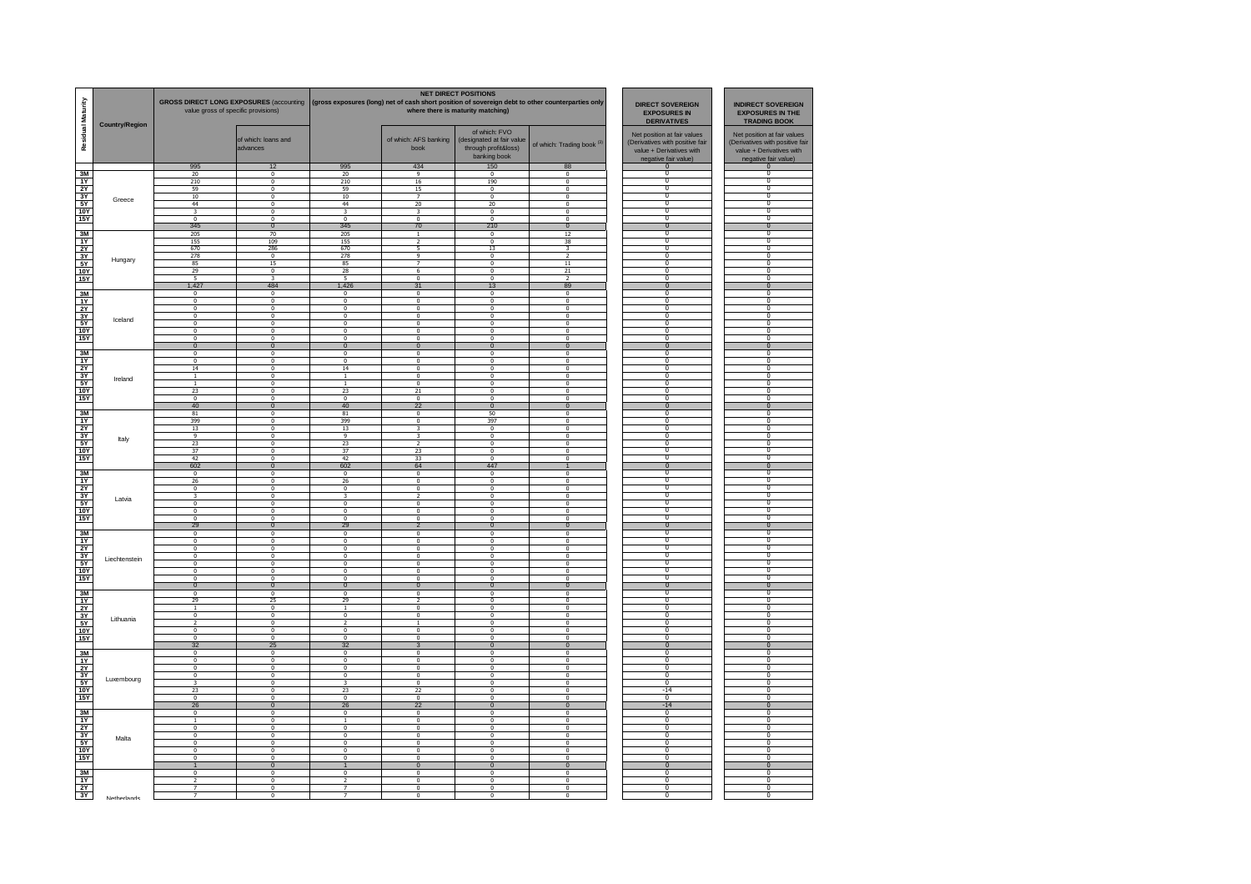| Residual Maturity                                          | <b>Country/Region</b> | GROSS DIRECT LONG EXPOSURES (accounting   (gross exposures (long) net of cash short position of sovereign debt to other counterparties only<br>value gross of specific provisions) |                                           |                                                    |                                                    | <b>NET DIRECT POSITIONS</b><br>where there is maturity matching)                   | <b>DIRECT SOVEREIGN</b><br><b>INDIRECT SOVEREIGN</b><br><b>EXPOSURES IN</b><br><b>EXPOSURES IN THE</b><br><b>DERIVATIVES</b><br><b>TRADING BOOK</b> |                                                                                                                    |                                                                                                                    |
|------------------------------------------------------------|-----------------------|------------------------------------------------------------------------------------------------------------------------------------------------------------------------------------|-------------------------------------------|----------------------------------------------------|----------------------------------------------------|------------------------------------------------------------------------------------|-----------------------------------------------------------------------------------------------------------------------------------------------------|--------------------------------------------------------------------------------------------------------------------|--------------------------------------------------------------------------------------------------------------------|
|                                                            |                       |                                                                                                                                                                                    | of which: loans and<br>advances           |                                                    | of which: AFS banking<br>book                      | of which: FVO<br>(designated at fair value<br>through profit&loss)<br>banking book | of which: Trading book <sup>(3)</sup>                                                                                                               | Net position at fair values<br>(Derivatives with positive fair<br>value + Derivatives with<br>negative fair value) | Net position at fair values<br>(Derivatives with positive fair<br>value + Derivatives with<br>negative fair value) |
|                                                            |                       | 995<br>20                                                                                                                                                                          | 12<br>$\Omega$                            | 995                                                | 434<br>9                                           | 150<br>$\Omega$                                                                    | 88<br>$\Omega$                                                                                                                                      | 0<br>$\Omega$                                                                                                      | $\Omega$<br>$\Omega$                                                                                               |
| 3M<br>1Y                                                   |                       | 210                                                                                                                                                                                | $\Omega$                                  | 20<br>210                                          | $16\,$                                             | 190                                                                                | $\sqrt{2}$                                                                                                                                          | $\Omega$                                                                                                           | $\overline{0}$                                                                                                     |
| 2Y                                                         |                       | 59                                                                                                                                                                                 | $\overline{0}$                            | 59                                                 | 15                                                 | 0                                                                                  | $\overline{0}$                                                                                                                                      | $\Omega$                                                                                                           | 0                                                                                                                  |
| $rac{3Y}{5Y}$                                              | Greece                | $10\,$                                                                                                                                                                             | $\overline{\mathbf{0}}$                   | 10                                                 |                                                    | $\overline{0}$                                                                     | $\mathbf{0}$                                                                                                                                        | $\overline{0}$                                                                                                     | $\overline{0}$                                                                                                     |
|                                                            |                       | 44                                                                                                                                                                                 | $\pmb{0}$                                 | 44                                                 | 20                                                 | 20                                                                                 | $\overline{0}$                                                                                                                                      | $\overline{0}$                                                                                                     | $\overline{0}$                                                                                                     |
| <b>10Y</b><br><b>15Y</b>                                   |                       | 3<br>$\overline{0}$                                                                                                                                                                | $\overline{\mathbf{0}}$<br>$\overline{0}$ | 3<br>$\overline{0}$                                | $\overline{0}$                                     | $\overline{0}$<br>$\overline{0}$                                                   | $\overline{0}$<br>$\Omega$                                                                                                                          | $\overline{\mathbf{0}}$<br>n                                                                                       | $\overline{\mathbf{0}}$<br>$\overline{0}$                                                                          |
|                                                            |                       | 345                                                                                                                                                                                | $\overline{0}$                            | 345                                                | 70                                                 | 210                                                                                | $\overline{0}$                                                                                                                                      | $\overline{0}$                                                                                                     | $\overline{0}$                                                                                                     |
| 3M                                                         |                       | 205                                                                                                                                                                                | 70                                        | 205                                                | $\overline{1}$                                     | $\Omega$                                                                           | 12                                                                                                                                                  | $^{\circ}$                                                                                                         | $\overline{0}$                                                                                                     |
| 1Y                                                         |                       | 155                                                                                                                                                                                | 109                                       | 155                                                | $\overline{2}$                                     | $\Omega$                                                                           | 38                                                                                                                                                  | $\Omega$                                                                                                           | $\overline{0}$                                                                                                     |
| 2Y                                                         |                       | 670                                                                                                                                                                                | 286                                       | 670                                                | $\overline{\phantom{a}}$                           | $13\,$                                                                             | $\mathbf{R}$                                                                                                                                        | $\Omega$<br>$\Omega$                                                                                               | $\overline{0}$<br>0                                                                                                |
| 3Y<br>5Y                                                   | Hungary               | 278<br>85                                                                                                                                                                          | 0<br>15                                   | 278<br>85                                          | 9                                                  | $\overline{0}$<br>$\mathbf 0$                                                      | $\frac{1}{2}$                                                                                                                                       | $\overline{0}$                                                                                                     | $\overline{0}$                                                                                                     |
| <b>10Y</b>                                                 |                       | 29                                                                                                                                                                                 | $\overline{\mathbf{0}}$                   | 28                                                 | 6                                                  | $\overline{0}$                                                                     | 21                                                                                                                                                  | $\overline{0}$                                                                                                     | $\overline{0}$                                                                                                     |
| <b>15Y</b>                                                 |                       |                                                                                                                                                                                    | 3                                         |                                                    | $\overline{0}$                                     | $\overline{0}$                                                                     |                                                                                                                                                     | $\overline{\mathbf{0}}$                                                                                            | $\overline{\mathbf{0}}$                                                                                            |
|                                                            |                       | 1,427                                                                                                                                                                              | 484                                       | 1,426                                              | 31                                                 | 13                                                                                 | 89                                                                                                                                                  | $\mathbf{0}$                                                                                                       | $\overline{0}$                                                                                                     |
| 3M<br>1Y                                                   |                       | $^{\circ}$<br>$\Omega$                                                                                                                                                             | $^{\circ}$<br>$\Omega$                    | $^{\circ}$<br>$\Omega$                             | $^{\circ}$<br>$\Omega$                             | $^{\circ}$<br>$\Omega$                                                             | $^{\circ}$<br>$\Omega$                                                                                                                              | 0<br>0                                                                                                             | 0<br>0                                                                                                             |
|                                                            |                       | $\Omega$                                                                                                                                                                           | $\Omega$                                  | $\Omega$                                           | $\Omega$                                           | $\Omega$                                                                           | $\Omega$                                                                                                                                            | $\Omega$                                                                                                           | $\overline{0}$                                                                                                     |
| $\begin{array}{r}\n 2Y \\ 3Y \\ \hline\n 5Y\n \end{array}$ | Iceland               | $\Omega$                                                                                                                                                                           | $\mathbf 0$                               | $\bf{0}$                                           | $\Omega$                                           | $\mathbf 0$                                                                        | $\Omega$                                                                                                                                            | $\Omega$                                                                                                           | $\overline{0}$                                                                                                     |
|                                                            |                       | $\overline{0}$<br>$\mathbf 0$                                                                                                                                                      | $\overline{0}$<br>$\mathbf{0}$            | $\overline{0}$<br>$\mathbf{0}$                     | $\overline{0}$<br>$\mathbf{0}$                     | $\overline{0}$<br>$\mathbf 0$                                                      | $\Omega$<br>$\mathbf{0}$                                                                                                                            | $\Omega$<br>$\overline{0}$                                                                                         | 0<br>$\overline{0}$                                                                                                |
| <b>10Y</b><br><b>15Y</b>                                   |                       | $\overline{0}$                                                                                                                                                                     | $\overline{0}$                            | $\overline{0}$                                     | $\overline{0}$                                     | $\overline{0}$                                                                     | $\overline{0}$                                                                                                                                      | n                                                                                                                  | $\overline{0}$                                                                                                     |
|                                                            |                       | $\overline{0}$                                                                                                                                                                     | $\overline{0}$                            | $\overline{0}$                                     | $\overline{0}$                                     | $\overline{0}$                                                                     | $\overline{0}$                                                                                                                                      | $\overline{0}$                                                                                                     | $\overline{0}$                                                                                                     |
| 3M                                                         |                       | $^{\circ}$                                                                                                                                                                         | $^{\circ}$                                | $^{\circ}$                                         | $^{\circ}$                                         | $^{\circ}$                                                                         | $^{\circ}$                                                                                                                                          | $\overline{0}$                                                                                                     | $\overline{0}$                                                                                                     |
| $\frac{1Y}{2Y}$                                            |                       | $^{\circ}$<br>14                                                                                                                                                                   | $^{\circ}$<br>$\Omega$                    | $^{\circ}$<br>14                                   | $\mathbf{0}$<br>$\Omega$                           | $^{\circ}$<br>$\Omega$                                                             | $^{\circ}$<br>$\Omega$                                                                                                                              | 0                                                                                                                  | $\overline{\mathbf{0}}$<br>0                                                                                       |
|                                                            |                       | $\mathbf{1}$                                                                                                                                                                       | $\Omega$                                  | $\mathbf{1}$                                       | $\Omega$                                           | $\Omega$                                                                           | $\Omega$                                                                                                                                            | $\Omega$                                                                                                           | $\Omega$                                                                                                           |
| $rac{3Y}{5Y}$                                              | Ireland               | $\mathbf{1}$                                                                                                                                                                       | $\mathbf 0$                               | $\mathbf{1}$                                       | $\Omega$                                           | $\mathbf 0$                                                                        | $\Omega$                                                                                                                                            | $\Omega$                                                                                                           | $\overline{0}$                                                                                                     |
| <b>10Y</b>                                                 |                       | 23                                                                                                                                                                                 | $\overline{0}$                            | 23                                                 | 21                                                 | $\overline{0}$                                                                     | $\overline{0}$                                                                                                                                      | $\Omega$<br>$\overline{0}$                                                                                         | $^{\circ}$<br>$\overline{0}$                                                                                       |
| <b>15Y</b>                                                 |                       | $\mathbf 0$<br>40                                                                                                                                                                  | $\mathbf{0}$<br>$\overline{0}$            | $\bf{0}$<br>40                                     | $\theta$<br>22                                     | $\mathbf 0$<br>$\overline{0}$                                                      | $\overline{0}$<br>$\bf 0$                                                                                                                           | $\overline{0}$                                                                                                     | $\overline{0}$                                                                                                     |
| 3M                                                         |                       | 81                                                                                                                                                                                 | 0                                         | 81                                                 | $\overline{\mathbf{0}}$                            | 50                                                                                 | $\mathbf{0}$                                                                                                                                        | $\overline{0}$                                                                                                     | $\overline{0}$                                                                                                     |
| 1Y                                                         |                       | 399                                                                                                                                                                                | $^{\circ}$                                | 399                                                | $^{\circ}$                                         | 397                                                                                | $^{\circ}$                                                                                                                                          | $\Omega$                                                                                                           | 0                                                                                                                  |
|                                                            |                       | 13                                                                                                                                                                                 | $^{\circ}$                                | 13                                                 | з                                                  | $^{\circ}$                                                                         | $^{\circ}$                                                                                                                                          | $\overline{\mathbf{0}}$                                                                                            | $\overline{\mathbf{0}}$                                                                                            |
| $\frac{2Y}{3Y}$                                            | Italy                 | $\mathbf{Q}$<br>23                                                                                                                                                                 | $\Omega$<br>$\Omega$                      | $\mathbf{q}$<br>23                                 | 3<br>$\mathcal{D}$                                 | $\Omega$<br>$\Omega$                                                               | $\Omega$<br>$\Omega$                                                                                                                                | 0<br>$\Omega$                                                                                                      | 0<br>$\Omega$                                                                                                      |
| <b>10Y</b>                                                 |                       | 37                                                                                                                                                                                 | $\mathbf 0$                               | 37                                                 | 23                                                 | $\mathbf 0$                                                                        | $\mathbf{0}$                                                                                                                                        | $\Omega$                                                                                                           | $\overline{0}$                                                                                                     |
| <b>15Y</b>                                                 |                       | 42                                                                                                                                                                                 | $\overline{0}$                            | 42                                                 | 33                                                 | $\overline{0}$                                                                     | $\overline{0}$                                                                                                                                      | $\Omega$                                                                                                           | $^{\circ}$                                                                                                         |
|                                                            |                       | 602                                                                                                                                                                                | $\overline{\mathbf{0}}$                   | 602                                                | 64                                                 | 447                                                                                |                                                                                                                                                     | $\Omega$<br>╖                                                                                                      | $\overline{0}$<br>$\overline{0}$                                                                                   |
| 3M<br>1Y                                                   |                       | 0<br>26                                                                                                                                                                            | 0<br>0                                    | $\bf{0}$<br>26                                     | $\overline{\mathbf{0}}$<br>$\overline{\mathbf{0}}$ | $\overline{\mathbf{0}}$<br>0                                                       | $\overline{0}$<br>$\overline{0}$                                                                                                                    | $\overline{0}$                                                                                                     | $\overline{\mathbf{0}}$                                                                                            |
| 2Y                                                         |                       | $\mathbf{0}$                                                                                                                                                                       | $^{\circ}$                                | $\mathbf{0}$                                       | $\mathbf{0}$                                       | $\mathbf{0}$                                                                       | $^{\circ}$                                                                                                                                          | 0                                                                                                                  | 0                                                                                                                  |
| $3Y$<br>$5Y$                                               | Latvia                | 3                                                                                                                                                                                  | $^{\circ}$                                | 3                                                  |                                                    | $^{\circ}$                                                                         | $^{\circ}$                                                                                                                                          | $\mathbf 0$                                                                                                        | $\overline{\mathbf{0}}$                                                                                            |
| <b>10Y</b>                                                 |                       | $\Omega$<br>$\Omega$                                                                                                                                                               | $\Omega$<br>$\Omega$                      | $\Omega$<br>$\Omega$                               | $\Omega$<br>$\Omega$                               | $\Omega$<br>$\Omega$                                                               | $\Omega$<br>$\Omega$                                                                                                                                | $^{\circ}$<br>$\Omega$                                                                                             | $\overline{\mathbf{0}}$<br>$\Omega$                                                                                |
| <b>15Y</b>                                                 |                       | $\Omega$                                                                                                                                                                           | $\Omega$                                  | $\Omega$                                           | $\sqrt{2}$                                         | $\Omega$                                                                           | $\sqrt{2}$                                                                                                                                          | $\overline{0}$                                                                                                     | $\overline{0}$                                                                                                     |
|                                                            |                       | 29                                                                                                                                                                                 | $\overline{0}$                            | 29                                                 | $\overline{2}$                                     | $\overline{0}$                                                                     | $\overline{0}$                                                                                                                                      | $\overline{0}$                                                                                                     | $\overline{0}$                                                                                                     |
| 3M                                                         |                       | $\overline{0}$                                                                                                                                                                     | $\overline{0}$                            | $\bf{0}$                                           | $\Omega$                                           | $\overline{0}$                                                                     | $\overline{0}$                                                                                                                                      | $\overline{0}$<br>$\overline{0}$                                                                                   | $\overline{0}$<br>$\overline{0}$                                                                                   |
| 1Y<br>2Y                                                   |                       | $\overline{\mathbf{0}}$<br>$\overline{\mathbf{0}}$                                                                                                                                 | 0<br>0                                    | $\overline{\mathbf{0}}$<br>$\overline{\mathbf{0}}$ | $\overline{\mathbf{0}}$<br>$\pmb{0}$               | 0<br>0                                                                             | $\overline{0}$<br>$\mathbf{0}$                                                                                                                      | $\overline{0}$                                                                                                     | $\overline{0}$                                                                                                     |
| 3Y                                                         |                       | $\mathbf 0$                                                                                                                                                                        | $\mathbf{0}$                              | $\mathbf 0$                                        | $\mathbf{0}$                                       | $\mathbf{0}$                                                                       | $^{\circ}$                                                                                                                                          | 0                                                                                                                  | 0                                                                                                                  |
| $\frac{5Y}{10Y}$                                           | Liechtenstein         | $^{\circ}$                                                                                                                                                                         | $^{\circ}$                                | $^{\circ}$                                         | $^{\circ}$                                         | $^{\circ}$                                                                         | $^{\circ}$                                                                                                                                          | $^{\circ}$                                                                                                         | $\overline{0}$                                                                                                     |
|                                                            |                       | $\Omega$<br>$\Omega$                                                                                                                                                               | $\Omega$<br>$\Omega$                      | $\Omega$<br>$\Omega$                               | $\Omega$<br>$\Omega$                               | $\Omega$<br>$\Omega$                                                               | $\Omega$<br>$\Omega$                                                                                                                                | $^{\circ}$<br>0                                                                                                    | $\overline{\mathbf{0}}$<br>0                                                                                       |
| 15Y                                                        |                       | $\mathbf{0}$                                                                                                                                                                       | $\mathbf{0}$                              | $\mathbf{0}$                                       | $\mathbf{0}$                                       | $\mathbf{0}$                                                                       | $\mathbf{0}$                                                                                                                                        | $\Omega$                                                                                                           | $\Omega$                                                                                                           |
| 3M                                                         |                       | 0                                                                                                                                                                                  | $\overline{\mathbf{0}}$                   | $\overline{\mathbf{0}}$                            | $\overline{\mathbf{0}}$                            | 0                                                                                  | $\overline{0}$                                                                                                                                      | $\Omega$                                                                                                           | $^{\circ}$                                                                                                         |
| 1Y                                                         |                       | 29                                                                                                                                                                                 | 25                                        | 29                                                 |                                                    | $\overline{0}$                                                                     | $\overline{0}$                                                                                                                                      | $\overline{0}$<br>$\overline{0}$                                                                                   | $\overline{0}$<br>$\overline{0}$                                                                                   |
| 2Y                                                         |                       | $\overline{1}$<br>0                                                                                                                                                                | $\overline{\mathbf{0}}$<br>$\pmb{0}$      | $\overline{1}$<br>$\pmb{0}$                        | $\overline{\mathbf{0}}$<br>$\pmb{0}$               | $\overline{\mathbf{0}}$<br>0                                                       | $\overline{\mathbf{0}}$<br>$\mathbf{0}$                                                                                                             | $\overline{0}$                                                                                                     | $\overline{0}$                                                                                                     |
| $\frac{3Y}{5Y}$                                            | Lithuania             | $\overline{2}$                                                                                                                                                                     | $^{\circ}$                                | $\overline{2}$                                     | $\mathbf{1}$                                       | $\mathbf 0$                                                                        | $\mathbf{0}$                                                                                                                                        | $\Omega$                                                                                                           | 0                                                                                                                  |
| <b>10Y</b>                                                 |                       | $\mathbf{0}$                                                                                                                                                                       | $^{\circ}$                                | $^{\circ}$                                         | $^{\circ}$                                         | $^{\circ}$                                                                         | $^{\circ}$                                                                                                                                          | 0                                                                                                                  | $\overline{0}$                                                                                                     |
| <b>15Y</b>                                                 |                       | $\Omega$<br>32                                                                                                                                                                     | $\Omega$<br>25                            | $\Omega$<br>32                                     | $\Omega$<br>$\mathbf{3}$                           | $\Omega$<br>$\Omega$                                                               | $\Omega$<br>$\overline{0}$                                                                                                                          | $\overline{0}$<br>$\Omega$                                                                                         | $\overline{\mathbf{0}}$<br>$\Omega$                                                                                |
| 3M                                                         |                       | $\mathbf 0$                                                                                                                                                                        | $\mathbf 0$                               | $\bf{0}$                                           | $\bf{0}$                                           | $\Omega$                                                                           | $\mathbf{0}$                                                                                                                                        | $\Omega$                                                                                                           | $\Omega$                                                                                                           |
| 1Y                                                         |                       | 0                                                                                                                                                                                  | $\overline{\mathbf{0}}$                   | $\overline{\mathbf{0}}$                            | $\overline{\mathbf{0}}$                            | 0                                                                                  | $\overline{0}$                                                                                                                                      | $\Omega$                                                                                                           | $^{\circ}$                                                                                                         |
| 2Y                                                         |                       | $\overline{0}$                                                                                                                                                                     | $\overline{0}$                            | $\overline{0}$                                     | $\overline{0}$                                     | $\overline{0}$                                                                     | $\overline{0}$                                                                                                                                      | $\overline{0}$<br>$\Omega$                                                                                         | $\overline{0}$<br>$\overline{0}$                                                                                   |
| 3Y                                                         | Luxembourg            | $\overline{\mathbf{0}}$<br>з                                                                                                                                                       | $\overline{\mathbf{0}}$<br>$\pmb{0}$      | $\overline{\mathbf{0}}$<br>3                       | $\overline{\mathbf{0}}$<br>$\pmb{0}$               | $\overline{0}$<br>0                                                                | $\overline{\mathbf{0}}$<br>$^{\circ}$                                                                                                               | $\overline{0}$                                                                                                     | $\overline{0}$                                                                                                     |
| $\frac{5Y}{10Y}$                                           |                       | 23                                                                                                                                                                                 | $\mathbf 0$                               | 23                                                 | 22                                                 | $\mathbf{0}$                                                                       | $\mathbf{0}$                                                                                                                                        | -14                                                                                                                | 0                                                                                                                  |
| <b>15Y</b>                                                 |                       | $^{\circ}$                                                                                                                                                                         | $^{\circ}$                                | $^{\circ}$                                         | $^{\circ}$                                         | $\mathbf{0}$                                                                       | $^{\circ}$                                                                                                                                          | $\overline{0}$                                                                                                     | $\overline{0}$                                                                                                     |
| 3M                                                         |                       | 26<br>$\mathbf{0}$                                                                                                                                                                 | $\mathbf{0}$<br>$^{\circ}$                | 26<br>$\mathbf{0}$                                 | 22<br>$^{\circ}$                                   | $\overline{0}$<br>$\overline{0}$                                                   | $\overline{0}$<br>$^{\circ}$                                                                                                                        | $-14$<br>0                                                                                                         | $\overline{0}$<br>0                                                                                                |
| 1Y                                                         |                       | $\mathbf{1}$                                                                                                                                                                       | $\mathbf 0$                               | $\mathbf{1}$                                       | $\mathbf{0}$                                       | $\mathbf 0$                                                                        | $\mathbf{0}$                                                                                                                                        | $\Omega$                                                                                                           | $\Omega$                                                                                                           |
| 2Y                                                         |                       | 0                                                                                                                                                                                  | $\overline{\mathbf{0}}$                   | $\overline{\mathbf{0}}$                            | $\overline{\mathbf{0}}$                            | 0                                                                                  | $\overline{0}$                                                                                                                                      | $\Omega$                                                                                                           | $^{\circ}$                                                                                                         |
| 3Y                                                         | Malta                 | $\overline{0}$                                                                                                                                                                     | $\overline{0}$                            | $\overline{0}$                                     | $\overline{0}$                                     | $\overline{0}$                                                                     | $\overline{0}$                                                                                                                                      | $\overline{0}$<br>$\Omega$                                                                                         | $\overline{0}$<br>$\overline{0}$                                                                                   |
| 5Y<br><b>10Y</b>                                           |                       | 0<br>0                                                                                                                                                                             | $\overline{\mathbf{0}}$<br>$\pmb{0}$      | $\overline{\mathbf{0}}$<br>$\pmb{0}$               | $\overline{\mathbf{0}}$<br>$\pmb{0}$               | $\overline{0}$<br>0                                                                | $\overline{\mathbf{0}}$<br>$\mathbf{0}$                                                                                                             | O                                                                                                                  | $\overline{0}$                                                                                                     |
| <b>15Y</b>                                                 |                       | $\mathbf 0$                                                                                                                                                                        | $\mathbf 0$                               | $\mathbf 0$                                        | $\mathbf{0}$                                       | $\mathbf 0$                                                                        | $\mathbf{0}$                                                                                                                                        |                                                                                                                    | 0                                                                                                                  |
|                                                            |                       | $\mathbf{1}$                                                                                                                                                                       | $\mathbf{0}$                              | $\mathbf{1}$                                       | $\mathbf{0}$                                       | $\overline{0}$                                                                     | $\mathbf{0}$                                                                                                                                        | $\mathbf{0}$                                                                                                       | $\overline{0}$                                                                                                     |
| 3M<br>1Y                                                   |                       | $\mathbf{0}$<br>$\overline{2}$                                                                                                                                                     | $\Omega$<br>$^{\circ}$                    | $\mathbf 0$<br>$\overline{2}$                      | $\Omega$<br>$\mathbf{0}$                           | $\Omega$<br>$\Omega$                                                               | $\Omega$<br>$\Omega$                                                                                                                                | $^{\circ}$<br>0                                                                                                    | 0<br>0                                                                                                             |
|                                                            |                       | $\overline{z}$                                                                                                                                                                     | $\pmb{0}$                                 | $\overline{7}$                                     | $\pmb{0}$                                          | $\pmb{0}$                                                                          | $\mathbf{0}$                                                                                                                                        | $\Omega$                                                                                                           | $\Omega$                                                                                                           |
| $\frac{2Y}{3Y}$                                            | Netherlands           | $\overline{7}$                                                                                                                                                                     | $\overline{\mathbf{0}}$                   | $\overline{7}$                                     | $\overline{\mathbf{0}}$                            | 0                                                                                  | $\overline{\mathbf{0}}$                                                                                                                             | $\Omega$                                                                                                           | 0                                                                                                                  |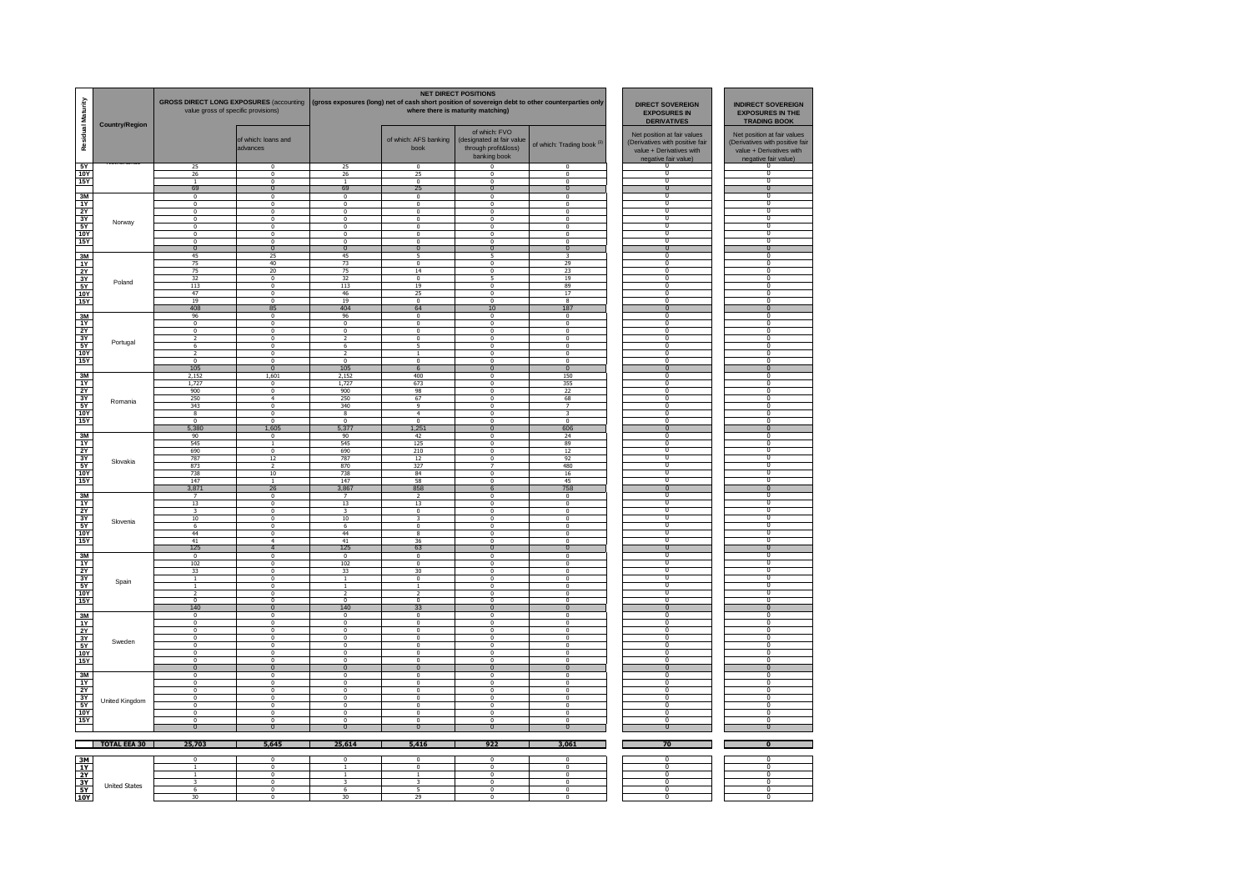| Residual Maturity                                                                                                 | <b>Country/Region</b> | <b>GROSS DIRECT LONG EXPOSURES (accounting</b><br>value gross of specific provisions) |                                                    |                                 | (gross exposures (long) net of cash short position of sovereign debt to other counterparties only | <b>NET DIRECT POSITIONS</b><br>where there is maturity matching)                   | <b>DIRECT SOVEREIGN</b><br><b>EXPOSURES IN</b><br><b>DERIVATIVES</b> | <b>INDIRECT SOVEREIGN</b><br><b>EXPOSURES IN THE</b><br><b>TRADING BOOK</b>                                        |                                                                                                                    |
|-------------------------------------------------------------------------------------------------------------------|-----------------------|---------------------------------------------------------------------------------------|----------------------------------------------------|---------------------------------|---------------------------------------------------------------------------------------------------|------------------------------------------------------------------------------------|----------------------------------------------------------------------|--------------------------------------------------------------------------------------------------------------------|--------------------------------------------------------------------------------------------------------------------|
|                                                                                                                   |                       |                                                                                       | of which: loans and<br>advances                    |                                 | of which: AFS banking<br>book                                                                     | of which: FVO<br>(designated at fair value<br>through profit&loss)<br>banking book | of which: Trading book (3)                                           | Net position at fair values<br>(Derivatives with positive fair<br>value + Derivatives with<br>negative fair value) | Net position at fair values<br>(Derivatives with positive fair<br>value + Derivatives with<br>negative fair value) |
| 5Y                                                                                                                |                       | 25<br>26                                                                              | $\Omega$<br>$\Omega$                               | $\frac{25}{26}$                 | $\Omega$<br>25                                                                                    | $\Omega$<br>$\Omega$                                                               | $\Omega$<br>$\Omega$                                                 | 0<br>$\Omega$                                                                                                      | $\Omega$                                                                                                           |
| <b>10Y</b><br><b>15Y</b>                                                                                          |                       | $\overline{1}$                                                                        | $\Omega$                                           | $\overline{1}$                  | $\Omega$                                                                                          | $\Omega$                                                                           | $\Omega$                                                             | $\Omega$                                                                                                           | $\Omega$                                                                                                           |
|                                                                                                                   |                       | 69                                                                                    | $\mathbf{0}$                                       | 69                              | 25                                                                                                | $\mathbf{0}$                                                                       | $\Omega$                                                             | $\Omega$                                                                                                           | $\Omega$                                                                                                           |
| 3M                                                                                                                |                       | $\overline{0}$                                                                        | $\mathbf{0}$                                       | $\bf{0}$                        | $\mathbf{0}$                                                                                      | $\pmb{0}$                                                                          | $\overline{0}$                                                       | $\Omega$                                                                                                           | $\Omega$                                                                                                           |
| 1Y<br>2Y                                                                                                          |                       | $\overline{0}$<br>$\overline{0}$                                                      | $\mathbf 0$<br>$\overline{0}$                      | $\bf{0}$<br>$\overline{0}$      | $\mathbf 0$<br>$\mathbf 0$                                                                        | $\overline{0}$<br>$\overline{\mathbf{0}}$                                          | $\mathbf 0$<br>$\overline{0}$                                        | $\Omega$<br>$\overline{0}$                                                                                         | $\overline{0}$<br>$\Omega$                                                                                         |
| 3Y                                                                                                                |                       | $^{\circ}$                                                                            | $\mathbf 0$                                        | $\bf{0}$                        | $^{\circ}$                                                                                        | $\mathbf 0$                                                                        | $\theta$                                                             | $\overline{0}$                                                                                                     | $\overline{0}$                                                                                                     |
| 5Y                                                                                                                | Norway                | $\mathbf{0}$                                                                          | $\overline{\mathbf{0}}$                            | $\mathbf 0$                     | $^{\circ}$                                                                                        | $\mathbf 0$                                                                        | $\overline{0}$                                                       | $\overline{0}$                                                                                                     | $\overline{0}$                                                                                                     |
| <b>10Y</b>                                                                                                        |                       | $\Omega$                                                                              | $\Omega$                                           | $\Omega$                        | $\Omega$                                                                                          | $\Omega$                                                                           | $\Omega$                                                             | $\overline{0}$                                                                                                     | $\overline{0}$                                                                                                     |
| <b>15Y</b>                                                                                                        |                       | $\Omega$<br>$\Omega$                                                                  | $\Omega$<br>$\Omega$                               | $\Omega$<br>$\Omega$            | $\Omega$<br>$\Omega$                                                                              | $\Omega$<br>$\Omega$                                                               | $\Omega$<br>$\Omega$                                                 | $\Omega$<br>$\Omega$                                                                                               | $\Omega$<br>$\Omega$                                                                                               |
| 3M                                                                                                                |                       | 45                                                                                    | 25                                                 | 45                              | 5                                                                                                 | 5                                                                                  | 3                                                                    | $\Omega$                                                                                                           | $\Omega$                                                                                                           |
| 1Y                                                                                                                |                       | 75                                                                                    | 40                                                 | 73                              | $\pmb{0}$                                                                                         | $\pmb{0}$                                                                          | 29                                                                   | $\Omega$                                                                                                           | $\Omega$                                                                                                           |
| 2Y                                                                                                                |                       | 75                                                                                    | 20                                                 | 75                              | 14                                                                                                | $\overline{\mathbf{0}}$                                                            | 23                                                                   | $\Omega$                                                                                                           | $\overline{0}$                                                                                                     |
| 3Y<br>5Y                                                                                                          | Poland                | 32                                                                                    | $\overline{0}$                                     | 32                              | $\mathbf 0$                                                                                       | 5                                                                                  | 19                                                                   | $\overline{\mathbf{0}}$<br>0                                                                                       | $\overline{0}$<br>$\overline{0}$                                                                                   |
| <b>10Y</b>                                                                                                        |                       | 113<br>47                                                                             | $\overline{0}$<br>$\mathbf{0}$                     | 113<br>-46                      | 19<br>25                                                                                          | $\overline{\mathbf{0}}$<br>$\mathbf 0$                                             | 89<br>17                                                             | $\overline{\mathbf{0}}$                                                                                            | $\overline{0}$                                                                                                     |
| <b>15Y</b>                                                                                                        |                       | 19                                                                                    | $\Omega$                                           | 19                              | $\Omega$                                                                                          | $\Omega$                                                                           | 8                                                                    | $\overline{0}$                                                                                                     | $\overline{0}$                                                                                                     |
|                                                                                                                   |                       | 408                                                                                   | 85                                                 | 404                             | 64                                                                                                | 10                                                                                 | 187                                                                  | $\Omega$                                                                                                           | $\Omega$                                                                                                           |
| 3M                                                                                                                |                       | 96                                                                                    | $\Omega$                                           | 96                              | $\Omega$                                                                                          | $\mathbf{0}$                                                                       | $\Omega$                                                             | $\Omega$<br>$^{\circ}$                                                                                             | $\Omega$<br>$\Omega$                                                                                               |
| 1Y<br>2Y                                                                                                          |                       | $\Omega$<br>$\pmb{0}$                                                                 | $\Omega$<br>$\mathbf 0$                            | $\Omega$<br>$\bf{0}$            | $\Omega$<br>$\pmb{0}$                                                                             | $\Omega$<br>$\pmb{0}$                                                              | $\Omega$<br>$\mathbf{0}$                                             | $\Omega$                                                                                                           | $\Omega$                                                                                                           |
| 3Y                                                                                                                |                       | $\overline{2}$                                                                        | $\overline{0}$                                     | $\overline{2}$                  | $\overline{\mathbf{0}}$                                                                           | $\overline{\mathbf{0}}$                                                            | $\overline{0}$                                                       | $\Omega$                                                                                                           | $\overline{0}$                                                                                                     |
| 5Y                                                                                                                | Portugal              | 6                                                                                     | $\overline{0}$                                     | 6                               | 5                                                                                                 | $\overline{\mathbf{0}}$                                                            | $\overline{0}$                                                       | $\overline{\mathbf{0}}$                                                                                            | $\overline{0}$                                                                                                     |
| <b>10Y</b>                                                                                                        |                       | $\overline{\phantom{a}}$                                                              | $\overline{\mathbf{0}}$<br>$\mathbf{0}$            | $\overline{\phantom{a}}$        | 1                                                                                                 | $\overline{\mathbf{0}}$                                                            | $\overline{\phantom{0}}$<br>$\overline{0}$                           | 0<br>$\overline{\mathbf{0}}$                                                                                       | $\overline{0}$<br>$\overline{0}$                                                                                   |
| <b>15Y</b>                                                                                                        |                       | $^{\circ}$<br>105                                                                     | $\overline{0}$                                     | $\bf{0}$<br>105                 | $^{\circ}$<br>6                                                                                   | $^{\circ}$<br>$\overline{0}$                                                       | $\overline{0}$                                                       | $\overline{\mathbf{0}}$                                                                                            | $^{\circ}$                                                                                                         |
|                                                                                                                   |                       | 2.152                                                                                 | 1.601                                              | 2,152                           | 400                                                                                               | $\Omega$                                                                           | 150                                                                  | - 0                                                                                                                | $\Omega$                                                                                                           |
| $\frac{3M}{1Y}$                                                                                                   |                       | 1,727                                                                                 | $\Omega$                                           | 1,727                           | 673                                                                                               | $\mathbf{0}$                                                                       | 355                                                                  | $\overline{0}$                                                                                                     | $\Omega$                                                                                                           |
| 2Y                                                                                                                |                       | 900                                                                                   | $\Omega$                                           | 900                             | 98                                                                                                | $\Omega$                                                                           | 22                                                                   | $^{\circ}$                                                                                                         | $\Omega$                                                                                                           |
| 3Y<br>5Y                                                                                                          | Romania               | 250                                                                                   | $\ddot{a}$<br>$\overline{0}$                       | 250                             | 67<br>9                                                                                           | $\pmb{0}$<br>$\overline{\mathbf{0}}$                                               | 68<br>$\overline{7}$                                                 | $\Omega$<br>$\Omega$                                                                                               | $\Omega$<br>$\overline{0}$                                                                                         |
| <b>10Y</b>                                                                                                        |                       | 343<br>$\overline{8}$                                                                 | $\overline{\mathbf{0}}$                            | 340<br>8                        | $\overline{4}$                                                                                    | $\overline{\mathbf{0}}$                                                            | 3                                                                    | $\overline{0}$                                                                                                     | $\overline{0}$                                                                                                     |
| <b>15Y</b>                                                                                                        |                       | $\overline{\mathbf{0}}$                                                               | $\overline{0}$                                     | $\overline{0}$                  | $\overline{0}$                                                                                    | $\overline{\mathbf{0}}$                                                            | $\overline{0}$                                                       | -0                                                                                                                 | n                                                                                                                  |
|                                                                                                                   |                       | 5,380                                                                                 | 1,605                                              | 5,377                           | 1,251                                                                                             | $\overline{0}$                                                                     | 606                                                                  | $\overline{\mathbf{0}}$                                                                                            | $\Omega$                                                                                                           |
| 3M<br>1Y                                                                                                          |                       | 90<br>545                                                                             | $\Omega$<br>$\mathbf{1}$                           | 90<br>545                       | 42<br>125                                                                                         | $\Omega$<br>$\Omega$                                                               | 24<br>89                                                             | $\overline{0}$<br>$\Omega$                                                                                         | $\overline{0}$<br>$\Omega$                                                                                         |
| 2Y                                                                                                                |                       | 690                                                                                   | $\Omega$                                           | 690                             | 210                                                                                               | $\Omega$                                                                           | 12                                                                   | $\Omega$                                                                                                           | $\Omega$                                                                                                           |
| 3Y                                                                                                                | Slovakia              | 787                                                                                   | 12                                                 | 787                             | 12                                                                                                | $\bf{0}$                                                                           | 92                                                                   | $\Omega$                                                                                                           | $\Omega$                                                                                                           |
| 5Y                                                                                                                |                       | 873                                                                                   | $\overline{ }$                                     | 870                             | 327                                                                                               | $\overline{7}$                                                                     | 480                                                                  | $\Omega$                                                                                                           | $\Omega$                                                                                                           |
| <b>10Y</b>                                                                                                        |                       | 738                                                                                   | $10$                                               | 738                             | 84<br>58                                                                                          | $\overline{0}$                                                                     | 16                                                                   | $\Omega$                                                                                                           | $\overline{0}$<br>$\overline{0}$                                                                                   |
| <b>15Y</b>                                                                                                        |                       | 147<br>3,871                                                                          | $\mathbf{1}$<br>26                                 | 147<br>3,867                    | 858                                                                                               | $\overline{0}$<br>6                                                                | 45<br>758                                                            | $\overline{0}$<br>$\overline{0}$                                                                                   | $\overline{0}$                                                                                                     |
| 3M                                                                                                                |                       | 7                                                                                     | $^{\circ}$                                         | 7                               |                                                                                                   | 0                                                                                  | 0                                                                    | 0                                                                                                                  | 0                                                                                                                  |
| $\frac{11}{21}$                                                                                                   |                       | 13                                                                                    | $\Omega$                                           | 13                              | 13                                                                                                | $\Omega$                                                                           | $\Omega$                                                             | $\overline{0}$                                                                                                     | $\overline{0}$                                                                                                     |
|                                                                                                                   |                       | 3                                                                                     | $\Omega$                                           | 3                               | $\Omega$                                                                                          | $\Omega$                                                                           | $\Omega$                                                             | $\Omega$                                                                                                           | $\Omega$                                                                                                           |
| 3Y<br>5Y                                                                                                          | Slovenia              | 10<br>$6\phantom{.}6$                                                                 | $\Omega$<br>$\Omega$                               | 10<br>6                         | $\mathbf{R}$<br>$\Omega$                                                                          | $\Omega$<br>$\Omega$                                                               | $\Omega$<br>$\Omega$                                                 | $\Omega$<br>$\Omega$                                                                                               | $\Omega$<br>$\Omega$                                                                                               |
| <b>10Y</b>                                                                                                        |                       | 44                                                                                    | $\Omega$                                           | 44                              | $\mathbf{R}$                                                                                      | $\Omega$                                                                           | $\Omega$                                                             | $\Omega$                                                                                                           | $\Omega$                                                                                                           |
| 15Y                                                                                                               |                       | 41                                                                                    | $\overline{4}$                                     | 41                              | 36                                                                                                | $\overline{0}$                                                                     | $\overline{0}$                                                       | -0                                                                                                                 | $\overline{0}$                                                                                                     |
|                                                                                                                   |                       | 125                                                                                   | $\overline{4}$                                     | 125                             | 63                                                                                                | $\pmb{0}$                                                                          | $\overline{0}$                                                       | $\overline{0}$                                                                                                     | $\overline{0}$                                                                                                     |
| 3M<br>1Y                                                                                                          |                       | $\overline{\mathbf{0}}$<br>102                                                        | $\overline{\mathbf{0}}$<br>$\overline{\mathbf{0}}$ | $\bf{0}$<br>102                 | 0<br>0                                                                                            | $\mathbf 0$<br>$\mathbf 0$                                                         | $\bf{0}$<br>$\overline{0}$                                           | O<br>$\overline{0}$                                                                                                | $\overline{0}$<br>$\Omega$                                                                                         |
| 2Y                                                                                                                |                       | 33                                                                                    | $\mathbf{0}$                                       | 33                              | 30                                                                                                | $\mathbf{0}$                                                                       | $\mathbf{0}$                                                         | $\overline{0}$                                                                                                     | $\overline{0}$                                                                                                     |
| $\frac{3Y}{5Y}$                                                                                                   | Spain                 | $\mathbf{1}$                                                                          | $^{\circ}$                                         | $\mathbf{1}$                    | $^{\circ}$                                                                                        | $^{\circ}$                                                                         | $^{\circ}$                                                           | 0                                                                                                                  |                                                                                                                    |
| <b>10Y</b>                                                                                                        |                       | $\mathbf{1}$<br>$\mathcal{D}$                                                         | $\Omega$                                           | $\overline{1}$<br>$\mathcal{D}$ | $\overline{1}$                                                                                    | $\mathbf{0}$                                                                       | $\Omega$                                                             | $\overline{0}$<br>$\Omega$                                                                                         | $\overline{0}$<br>$\Omega$                                                                                         |
| <b>15Y</b>                                                                                                        |                       | $\Omega$                                                                              | $\mathbf{0}$<br>$\Omega$                           | $\Omega$                        | $\Omega$                                                                                          | $\mathbf{0}$<br>$\Omega$                                                           | $\mathbf{0}$<br>$\Omega$                                             | $\Omega$                                                                                                           | $\Omega$                                                                                                           |
|                                                                                                                   |                       | 140                                                                                   | $\overline{0}$                                     | 140                             | 33                                                                                                | $\overline{0}$                                                                     | $\overline{0}$                                                       | $\overline{0}$                                                                                                     | $\overline{0}$                                                                                                     |
| 3M                                                                                                                |                       | $\overline{\mathbf{0}}$                                                               | $\overline{0}$                                     | $\overline{\mathbf{0}}$         | $\overline{\mathbf{0}}$                                                                           | $\overline{\mathbf{0}}$                                                            | $\overline{0}$                                                       | $\overline{0}$                                                                                                     | $\Omega$                                                                                                           |
| 1Y                                                                                                                |                       | $\overline{\mathbf{0}}$                                                               | $\overline{\mathbf{0}}$                            | 0                               | $\pmb{0}$                                                                                         | $\overline{\mathbf{0}}$                                                            | $\overline{\mathbf{0}}$                                              | $\overline{0}$                                                                                                     | n<br>$\overline{0}$                                                                                                |
| $\frac{2Y}{3Y}$                                                                                                   |                       | $\mathbf 0$<br>$\mathbf{0}$                                                           | $\overline{\mathbf{0}}$<br>$\mathbf{0}$            | $\bf{0}$<br>$\mathbf{0}$        | 0<br>$^{\circ}$                                                                                   | $\overline{\mathbf{0}}$<br>$\mathbf{0}$                                            | $\overline{\mathbf{0}}$<br>$\mathbf{0}$                              | $\overline{0}$<br>$\overline{0}$                                                                                   | $\overline{0}$                                                                                                     |
|                                                                                                                   | Sweden                | $^{\circ}$                                                                            | $^{\circ}$                                         | $^{\circ}$                      | $^{\circ}$                                                                                        | $^{\circ}$                                                                         | $^{\circ}$                                                           | $\Omega$                                                                                                           |                                                                                                                    |
| 10Y                                                                                                               |                       | $\Omega$                                                                              | $\Omega$                                           | $\Omega$                        | $\Omega$                                                                                          | $\Omega$                                                                           | $\Omega$                                                             | $\overline{0}$                                                                                                     | $\overline{0}$                                                                                                     |
| <b>15Y</b>                                                                                                        |                       | $\Omega$                                                                              | $\Omega$                                           | $\Omega$                        | $\Omega$                                                                                          | $\Omega$                                                                           | $\Omega$                                                             | $^{\circ}$                                                                                                         | 0<br>$\Omega$                                                                                                      |
| 3M                                                                                                                |                       | $\overline{0}$<br>$\overline{\mathbf{0}}$                                             | $\mathbf{0}$<br>$\overline{0}$                     | $\mathbf{0}$<br>0               | $\mathbf 0$<br>$\overline{\mathbf{0}}$                                                            | $\boldsymbol{0}$<br>$\overline{\mathbf{0}}$                                        | $\mathbf 0$<br>$\overline{\mathbf{0}}$                               | $\mathbf{0}$<br>$^{\circ}$                                                                                         | $\overline{0}$                                                                                                     |
| 1Y                                                                                                                |                       | $\overline{0}$                                                                        | $\overline{0}$                                     | $\overline{\mathbf{0}}$         | $\overline{\mathbf{0}}$                                                                           | $\overline{\mathbf{0}}$                                                            | $\overline{0}$                                                       | $\overline{0}$                                                                                                     | $\overline{0}$                                                                                                     |
| 2Y                                                                                                                |                       | $\overline{\mathbf{0}}$                                                               | $\overline{\mathbf{0}}$                            | $\overline{\mathbf{0}}$         | $\pmb{0}$                                                                                         | $\overline{\mathbf{0}}$                                                            | $\overline{\mathbf{0}}$                                              | O                                                                                                                  | n                                                                                                                  |
| $\frac{3Y}{5Y}$                                                                                                   | United Kingdom        | 0                                                                                     | $\overline{\mathbf{0}}$                            | 0                               | 0                                                                                                 | $\overline{\mathbf{0}}$                                                            | $\overline{\phantom{0}}$                                             | $\overline{0}$                                                                                                     | $\overline{0}$                                                                                                     |
|                                                                                                                   |                       | $\mathbf{0}$                                                                          | $\mathbf{0}$                                       | $\mathbf{0}$                    | $^{\circ}$                                                                                        | $\mathbf 0$                                                                        | $\mathbf{0}$                                                         | $\overline{0}$<br>0                                                                                                | $\overline{0}$                                                                                                     |
| 15Y                                                                                                               |                       | $^{\circ}$<br>$\Omega$                                                                | $^{\circ}$<br>$\Omega$                             | $\mathbf{0}$<br>$\Omega$        | $^{\circ}$<br>$\Omega$                                                                            | $^{\circ}$<br>$\Omega$                                                             | $^{\circ}$<br>$\Omega$                                               | $\overline{0}$                                                                                                     | $\overline{0}$                                                                                                     |
|                                                                                                                   |                       | $\mathbf{0}$                                                                          | $\overline{0}$                                     | $\mathbf{0}$                    | $\mathbf{0}$                                                                                      | $\overline{0}$                                                                     | $\Omega$                                                             | $^{\circ}$                                                                                                         | $\mathbf{0}$                                                                                                       |
|                                                                                                                   |                       |                                                                                       |                                                    |                                 |                                                                                                   |                                                                                    |                                                                      |                                                                                                                    |                                                                                                                    |
|                                                                                                                   | TOTAL EEA 30          | 25,703                                                                                | 5,645                                              | 25,614                          | 5,416                                                                                             | 922                                                                                | 3,061                                                                | 70                                                                                                                 | $\overline{0}$                                                                                                     |
| 3M                                                                                                                |                       | $\overline{0}$                                                                        | $\overline{0}$                                     | $\overline{0}$                  | $\overline{0}$                                                                                    | $\overline{\mathbf{0}}$                                                            | $\overline{0}$                                                       | $\overline{0}$                                                                                                     | $\overline{0}$                                                                                                     |
|                                                                                                                   |                       | $\mathbf{1}$                                                                          | $\overline{\mathbf{0}}$                            | $\mathbf{1}$                    | $\overline{\mathbf{0}}$                                                                           | $\overline{\mathbf{0}}$                                                            | $\overline{0}$                                                       | $\overline{0}$                                                                                                     | n                                                                                                                  |
| $\begin{array}{c}\n 11 \\ \hline\n 11 \\ \hline\n 21 \\ \hline\n 31 \\ \hline\n 51 \\ \hline\n 100\n \end{array}$ |                       |                                                                                       | $\overline{\mathbf{0}}$                            | $\mathbf{1}$                    |                                                                                                   | $\overline{\mathbf{0}}$                                                            | $\overline{0}$                                                       | $\overline{0}$                                                                                                     | $\overline{0}$                                                                                                     |
|                                                                                                                   | <b>United States</b>  | 3                                                                                     | $\mathbf 0$                                        | $\overline{\mathbf{3}}$         | 3                                                                                                 | $\mathbf 0$                                                                        | $\mathbf{0}$                                                         | $\overline{0}$<br>0                                                                                                | $\overline{0}$<br>$\overline{0}$                                                                                   |
|                                                                                                                   |                       | 6                                                                                     | $^{\circ}$<br>$\overline{0}$                       | 6                               | 29                                                                                                | $^{\circ}$<br>$\Omega$                                                             | $^{\circ}$<br>$\mathbf{0}$                                           | $\overline{0}$                                                                                                     | $\overline{0}$                                                                                                     |
|                                                                                                                   |                       | 30                                                                                    |                                                    | 30                              |                                                                                                   |                                                                                    |                                                                      |                                                                                                                    |                                                                                                                    |